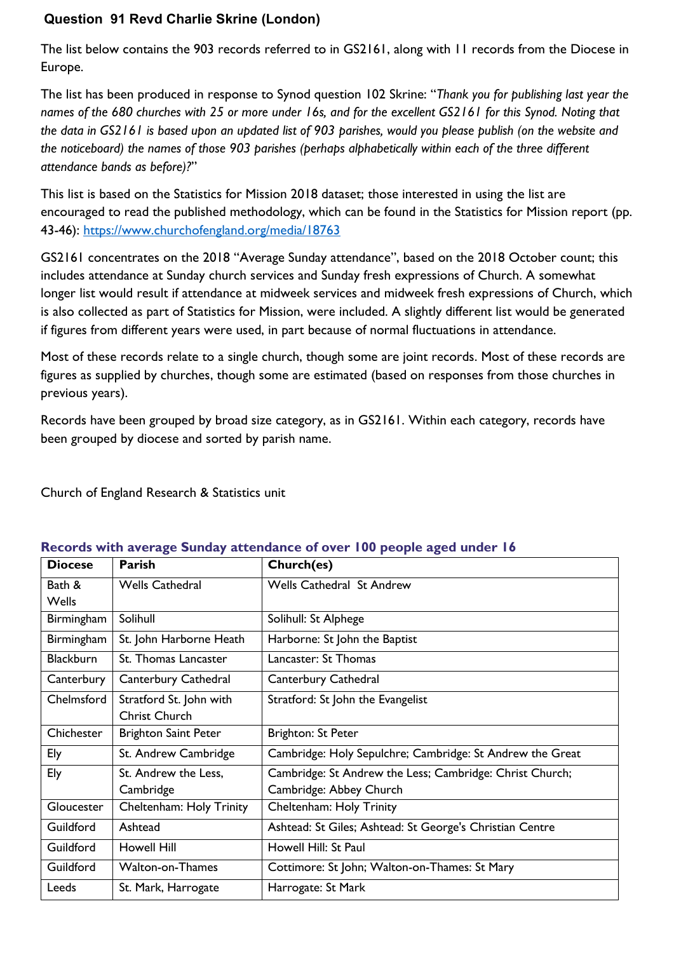## **Question 91 Revd Charlie Skrine (London)**

The list below contains the 903 records referred to in GS2161, along with 11 records from the Diocese in Europe.

The list has been produced in response to Synod question 102 Skrine: "*Thank you for publishing last year the names of the 680 churches with 25 or more under 16s, and for the excellent GS2161 for this Synod. Noting that the data in GS2161 is based upon an updated list of 903 parishes, would you please publish (on the website and the noticeboard) the names of those 903 parishes (perhaps alphabetically within each of the three different attendance bands as before)?*"

This list is based on the Statistics for Mission 2018 dataset; those interested in using the list are encouraged to read the published methodology, which can be found in the Statistics for Mission report (pp. 43-46):<https://www.churchofengland.org/media/18763>

GS2161 concentrates on the 2018 "Average Sunday attendance", based on the 2018 October count; this includes attendance at Sunday church services and Sunday fresh expressions of Church. A somewhat longer list would result if attendance at midweek services and midweek fresh expressions of Church, which is also collected as part of Statistics for Mission, were included. A slightly different list would be generated if figures from different years were used, in part because of normal fluctuations in attendance.

Most of these records relate to a single church, though some are joint records. Most of these records are figures as supplied by churches, though some are estimated (based on responses from those churches in previous years).

Records have been grouped by broad size category, as in GS2161. Within each category, records have been grouped by diocese and sorted by parish name.

Church of England Research & Statistics unit

| <b>Diocese</b>   | Parish                      | Church(es)                                                |
|------------------|-----------------------------|-----------------------------------------------------------|
| Bath &           | <b>Wells Cathedral</b>      | <b>Wells Cathedral St Andrew</b>                          |
| <b>Wells</b>     |                             |                                                           |
| Birmingham       | Solihull                    | Solihull: St Alphege                                      |
| Birmingham       | St. John Harborne Heath     | Harborne: St John the Baptist                             |
| <b>Blackburn</b> | St. Thomas Lancaster        | Lancaster: St Thomas                                      |
| Canterbury       | Canterbury Cathedral        | Canterbury Cathedral                                      |
| Chelmsford       | Stratford St. John with     | Stratford: St John the Evangelist                         |
|                  | Christ Church               |                                                           |
| Chichester       | <b>Brighton Saint Peter</b> | Brighton: St Peter                                        |
| Ely              | St. Andrew Cambridge        | Cambridge: Holy Sepulchre; Cambridge: St Andrew the Great |
| Ely              | St. Andrew the Less,        | Cambridge: St Andrew the Less; Cambridge: Christ Church;  |
|                  | Cambridge                   | Cambridge: Abbey Church                                   |
| Gloucester       | Cheltenham: Holy Trinity    | Cheltenham: Holy Trinity                                  |
| Guildford        | Ashtead                     | Ashtead: St Giles; Ashtead: St George's Christian Centre  |
| Guildford        | <b>Howell Hill</b>          | Howell Hill: St Paul                                      |
| Guildford        | <b>Walton-on-Thames</b>     | Cottimore: St John; Walton-on-Thames: St Mary             |
| Leeds            | St. Mark, Harrogate         | Harrogate: St Mark                                        |

## **Records with average Sunday attendance of over 100 people aged under 16**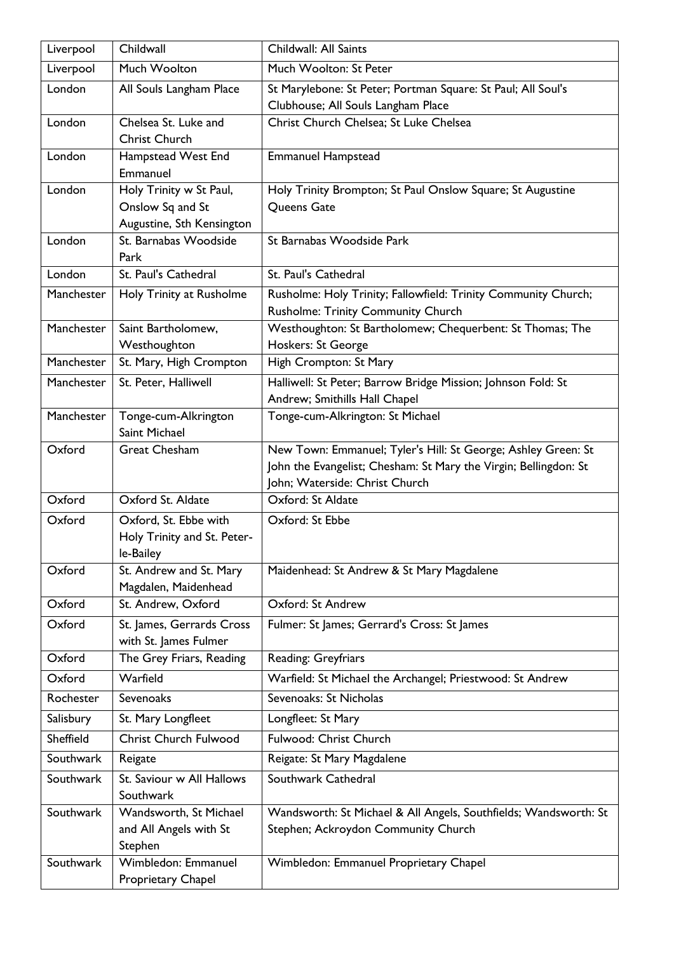| Liverpool  | Childwall                                     | Childwall: All Saints                                                     |
|------------|-----------------------------------------------|---------------------------------------------------------------------------|
| Liverpool  | Much Woolton                                  | Much Woolton: St Peter                                                    |
| London     | All Souls Langham Place                       | St Marylebone: St Peter; Portman Square: St Paul; All Soul's              |
|            |                                               | Clubhouse; All Souls Langham Place                                        |
| London     | Chelsea St. Luke and                          | Christ Church Chelsea; St Luke Chelsea                                    |
|            | <b>Christ Church</b>                          |                                                                           |
| London     | Hampstead West End                            | <b>Emmanuel Hampstead</b>                                                 |
|            | Emmanuel                                      |                                                                           |
| London     | Holy Trinity w St Paul,                       | Holy Trinity Brompton; St Paul Onslow Square; St Augustine<br>Queens Gate |
|            | Onslow Sq and St<br>Augustine, Sth Kensington |                                                                           |
| London     | St. Barnabas Woodside                         | St Barnabas Woodside Park                                                 |
|            | Park                                          |                                                                           |
| London     | St. Paul's Cathedral                          | St. Paul's Cathedral                                                      |
| Manchester | Holy Trinity at Rusholme                      | Rusholme: Holy Trinity; Fallowfield: Trinity Community Church;            |
|            |                                               | Rusholme: Trinity Community Church                                        |
| Manchester | Saint Bartholomew,                            | Westhoughton: St Bartholomew; Chequerbent: St Thomas; The                 |
|            | Westhoughton                                  | Hoskers: St George                                                        |
| Manchester | St. Mary, High Crompton                       | High Crompton: St Mary                                                    |
| Manchester | St. Peter, Halliwell                          | Halliwell: St Peter; Barrow Bridge Mission; Johnson Fold: St              |
|            |                                               | Andrew; Smithills Hall Chapel                                             |
| Manchester | Tonge-cum-Alkrington                          | Tonge-cum-Alkrington: St Michael                                          |
|            | Saint Michael                                 |                                                                           |
| Oxford     | <b>Great Chesham</b>                          | New Town: Emmanuel; Tyler's Hill: St George; Ashley Green: St             |
|            |                                               | John the Evangelist; Chesham: St Mary the Virgin; Bellingdon: St          |
|            |                                               | John; Waterside: Christ Church                                            |
| Oxford     | Oxford St. Aldate                             | Oxford: St Aldate                                                         |
| Oxford     | Oxford, St. Ebbe with                         | Oxford: St Ebbe                                                           |
|            | Holy Trinity and St. Peter-                   |                                                                           |
| Oxford     | le-Bailey<br>St. Andrew and St. Mary          | Maidenhead: St Andrew & St Mary Magdalene                                 |
|            | Magdalen, Maidenhead                          |                                                                           |
| Oxford     | St. Andrew, Oxford                            | Oxford: St Andrew                                                         |
| Oxford     | St. James, Gerrards Cross                     | Fulmer: St James; Gerrard's Cross: St James                               |
|            | with St. James Fulmer                         |                                                                           |
| Oxford     | The Grey Friars, Reading                      | Reading: Greyfriars                                                       |
| Oxford     | Warfield                                      | Warfield: St Michael the Archangel; Priestwood: St Andrew                 |
| Rochester  | <b>Sevenoaks</b>                              | Sevenoaks: St Nicholas                                                    |
| Salisbury  | St. Mary Longfleet                            | Longfleet: St Mary                                                        |
| Sheffield  | <b>Christ Church Fulwood</b>                  | Fulwood: Christ Church                                                    |
| Southwark  | Reigate                                       | Reigate: St Mary Magdalene                                                |
| Southwark  | St. Saviour w All Hallows                     | Southwark Cathedral                                                       |
|            | Southwark                                     |                                                                           |
| Southwark  | Wandsworth, St Michael                        | Wandsworth: St Michael & All Angels, Southfields; Wandsworth: St          |
|            | and All Angels with St                        | Stephen; Ackroydon Community Church                                       |
|            | Stephen                                       |                                                                           |
| Southwark  | Wimbledon: Emmanuel                           | Wimbledon: Emmanuel Proprietary Chapel                                    |
|            | Proprietary Chapel                            |                                                                           |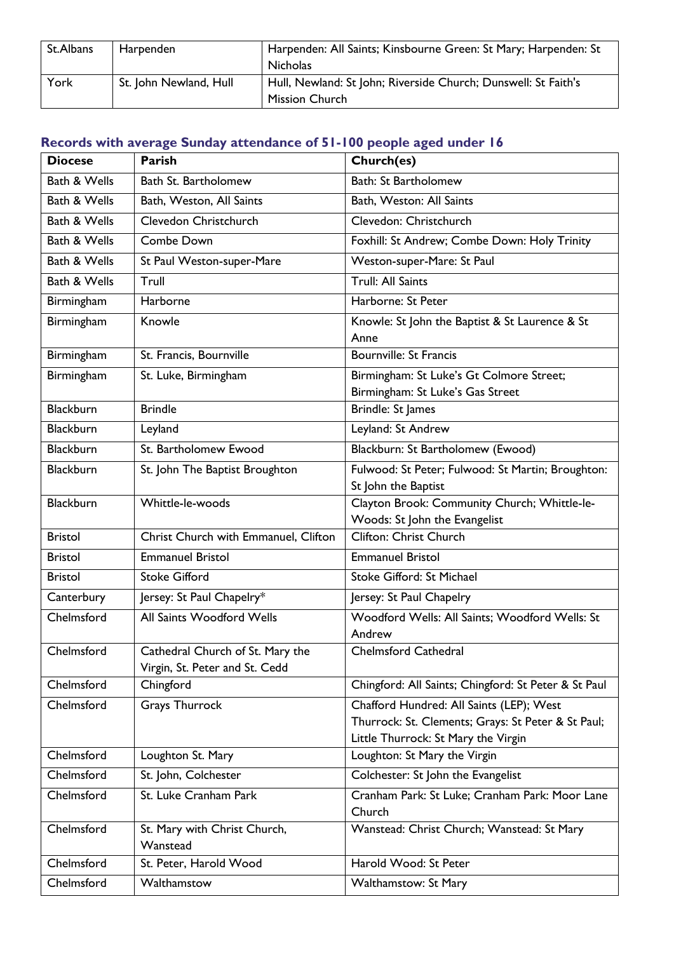| St.Albans | Harpenden              | Harpenden: All Saints; Kinsbourne Green: St Mary; Harpenden: St |
|-----------|------------------------|-----------------------------------------------------------------|
|           |                        | <b>Nicholas</b>                                                 |
| York      | St. John Newland, Hull | Hull, Newland: St John; Riverside Church; Dunswell: St Faith's  |
|           |                        | <b>Mission Church</b>                                           |

## **Records with average Sunday attendance of 51-100 people aged under 16**

| <b>Diocese</b>   | Parish                                                             | Church(es)                                                                                                                            |
|------------------|--------------------------------------------------------------------|---------------------------------------------------------------------------------------------------------------------------------------|
| Bath & Wells     | Bath St. Bartholomew                                               | Bath: St Bartholomew                                                                                                                  |
| Bath & Wells     | Bath, Weston, All Saints                                           | Bath, Weston: All Saints                                                                                                              |
| Bath & Wells     | Clevedon Christchurch                                              | Clevedon: Christchurch                                                                                                                |
| Bath & Wells     | Combe Down                                                         | Foxhill: St Andrew; Combe Down: Holy Trinity                                                                                          |
| Bath & Wells     | St Paul Weston-super-Mare                                          | Weston-super-Mare: St Paul                                                                                                            |
| Bath & Wells     | Trull                                                              | <b>Trull: All Saints</b>                                                                                                              |
| Birmingham       | <b>Harborne</b>                                                    | Harborne: St Peter                                                                                                                    |
| Birmingham       | Knowle                                                             | Knowle: St John the Baptist & St Laurence & St<br>Anne                                                                                |
| Birmingham       | St. Francis, Bournville                                            | <b>Bournville: St Francis</b>                                                                                                         |
| Birmingham       | St. Luke, Birmingham                                               | Birmingham: St Luke's Gt Colmore Street;<br>Birmingham: St Luke's Gas Street                                                          |
| <b>Blackburn</b> | <b>Brindle</b>                                                     | Brindle: St James                                                                                                                     |
| <b>Blackburn</b> | Leyland                                                            | Leyland: St Andrew                                                                                                                    |
| <b>Blackburn</b> | St. Bartholomew Ewood                                              | Blackburn: St Bartholomew (Ewood)                                                                                                     |
| <b>Blackburn</b> | St. John The Baptist Broughton                                     | Fulwood: St Peter; Fulwood: St Martin; Broughton:<br>St John the Baptist                                                              |
| <b>Blackburn</b> | Whittle-le-woods                                                   | Clayton Brook: Community Church; Whittle-le-<br>Woods: St John the Evangelist                                                         |
| <b>Bristol</b>   | Christ Church with Emmanuel, Clifton                               | Clifton: Christ Church                                                                                                                |
| <b>Bristol</b>   | <b>Emmanuel Bristol</b>                                            | <b>Emmanuel Bristol</b>                                                                                                               |
| <b>Bristol</b>   | <b>Stoke Gifford</b>                                               | Stoke Gifford: St Michael                                                                                                             |
| Canterbury       | Jersey: St Paul Chapelry*                                          | Jersey: St Paul Chapelry                                                                                                              |
| Chelmsford       | All Saints Woodford Wells                                          | Woodford Wells: All Saints; Woodford Wells: St<br>Andrew                                                                              |
| Chelmsford       | Cathedral Church of St. Mary the<br>Virgin, St. Peter and St. Cedd | <b>Chelmsford Cathedral</b>                                                                                                           |
| Chelmsford       | Chingford                                                          | Chingford: All Saints; Chingford: St Peter & St Paul                                                                                  |
| Chelmsford       | <b>Grays Thurrock</b>                                              | Chafford Hundred: All Saints (LEP); West<br>Thurrock: St. Clements; Grays: St Peter & St Paul;<br>Little Thurrock: St Mary the Virgin |
| Chelmsford       | Loughton St. Mary                                                  | Loughton: St Mary the Virgin                                                                                                          |
| Chelmsford       | St. John, Colchester                                               | Colchester: St John the Evangelist                                                                                                    |
| Chelmsford       | St. Luke Cranham Park                                              | Cranham Park: St Luke; Cranham Park: Moor Lane<br>Church                                                                              |
| Chelmsford       | St. Mary with Christ Church,<br>Wanstead                           | Wanstead: Christ Church; Wanstead: St Mary                                                                                            |
| Chelmsford       | St. Peter, Harold Wood                                             | Harold Wood: St Peter                                                                                                                 |
| Chelmsford       | Walthamstow                                                        | Walthamstow: St Mary                                                                                                                  |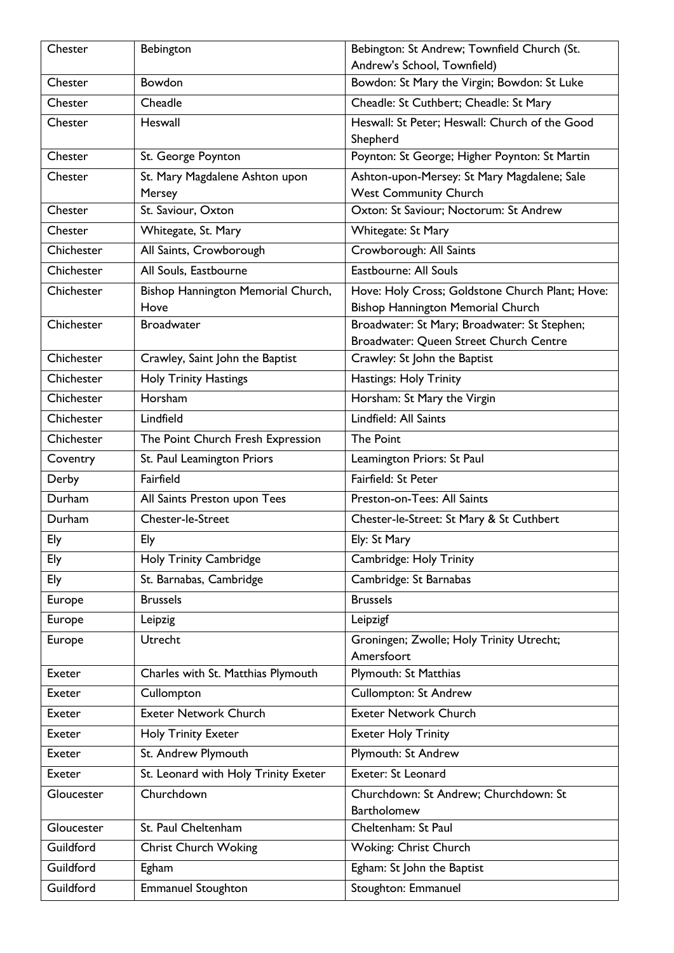| Chester    | Bebington                            | Bebington: St Andrew; Townfield Church (St.                            |
|------------|--------------------------------------|------------------------------------------------------------------------|
|            |                                      | Andrew's School, Townfield)                                            |
| Chester    | <b>Bowdon</b>                        | Bowdon: St Mary the Virgin; Bowdon: St Luke                            |
| Chester    | Cheadle                              | Cheadle: St Cuthbert; Cheadle: St Mary                                 |
| Chester    | Heswall                              | Heswall: St Peter; Heswall: Church of the Good                         |
|            |                                      | Shepherd                                                               |
| Chester    | St. George Poynton                   | Poynton: St George; Higher Poynton: St Martin                          |
| Chester    | St. Mary Magdalene Ashton upon       | Ashton-upon-Mersey: St Mary Magdalene; Sale                            |
|            | Mersey                               | <b>West Community Church</b>                                           |
| Chester    | St. Saviour, Oxton                   | Oxton: St Saviour; Noctorum: St Andrew                                 |
| Chester    | Whitegate, St. Mary                  | Whitegate: St Mary                                                     |
| Chichester | All Saints, Crowborough              | Crowborough: All Saints                                                |
| Chichester | All Souls, Eastbourne                | Eastbourne: All Souls                                                  |
| Chichester | Bishop Hannington Memorial Church,   | Hove: Holy Cross; Goldstone Church Plant; Hove:                        |
|            | Hove                                 | Bishop Hannington Memorial Church                                      |
| Chichester | <b>Broadwater</b>                    | Broadwater: St Mary; Broadwater: St Stephen;                           |
| Chichester | Crawley, Saint John the Baptist      | Broadwater: Queen Street Church Centre<br>Crawley: St John the Baptist |
|            |                                      |                                                                        |
| Chichester | Holy Trinity Hastings                | Hastings: Holy Trinity                                                 |
| Chichester | Horsham                              | Horsham: St Mary the Virgin                                            |
| Chichester | Lindfield                            | Lindfield: All Saints                                                  |
| Chichester | The Point Church Fresh Expression    | <b>The Point</b>                                                       |
| Coventry   | St. Paul Leamington Priors           | Leamington Priors: St Paul                                             |
| Derby      | Fairfield                            | Fairfield: St Peter                                                    |
| Durham     | All Saints Preston upon Tees         | Preston-on-Tees: All Saints                                            |
| Durham     | Chester-le-Street                    | Chester-le-Street: St Mary & St Cuthbert                               |
| Ely        | Ely                                  | Ely: St Mary                                                           |
| Ely        | Holy Trinity Cambridge               | Cambridge: Holy Trinity                                                |
| Ely        | St. Barnabas, Cambridge              | Cambridge: St Barnabas                                                 |
| Europe     | <b>Brussels</b>                      | <b>Brussels</b>                                                        |
| Europe     | Leipzig                              | Leipzigf                                                               |
| Europe     | Utrecht                              | Groningen; Zwolle; Holy Trinity Utrecht;                               |
|            |                                      | Amersfoort                                                             |
| Exeter     | Charles with St. Matthias Plymouth   | <b>Plymouth: St Matthias</b>                                           |
| Exeter     | Cullompton                           | <b>Cullompton: St Andrew</b>                                           |
| Exeter     | <b>Exeter Network Church</b>         | <b>Exeter Network Church</b>                                           |
| Exeter     | <b>Holy Trinity Exeter</b>           | <b>Exeter Holy Trinity</b>                                             |
| Exeter     | St. Andrew Plymouth                  | Plymouth: St Andrew                                                    |
| Exeter     | St. Leonard with Holy Trinity Exeter | Exeter: St Leonard                                                     |
| Gloucester | Churchdown                           | Churchdown: St Andrew; Churchdown: St                                  |
|            |                                      | <b>Bartholomew</b>                                                     |
| Gloucester | St. Paul Cheltenham                  | Cheltenham: St Paul                                                    |
| Guildford  | <b>Christ Church Woking</b>          | Woking: Christ Church                                                  |
| Guildford  | Egham                                | Egham: St John the Baptist                                             |
| Guildford  | <b>Emmanuel Stoughton</b>            | Stoughton: Emmanuel                                                    |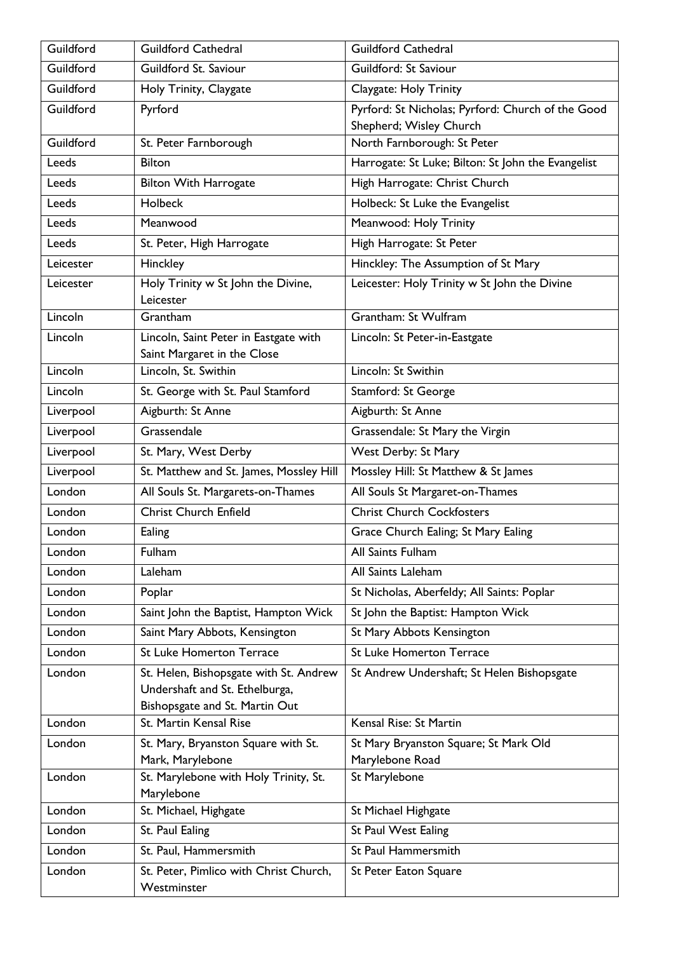| Guildford | <b>Guildford Cathedral</b>                                                                                 | <b>Guildford Cathedral</b>                               |
|-----------|------------------------------------------------------------------------------------------------------------|----------------------------------------------------------|
| Guildford | Guildford St. Saviour                                                                                      | Guildford: St Saviour                                    |
| Guildford | Holy Trinity, Claygate                                                                                     | Claygate: Holy Trinity                                   |
| Guildford | Pyrford                                                                                                    | Pyrford: St Nicholas; Pyrford: Church of the Good        |
|           |                                                                                                            | Shepherd; Wisley Church                                  |
| Guildford | St. Peter Farnborough                                                                                      | North Farnborough: St Peter                              |
| Leeds     | <b>Bilton</b>                                                                                              | Harrogate: St Luke; Bilton: St John the Evangelist       |
| Leeds     | <b>Bilton With Harrogate</b>                                                                               | High Harrogate: Christ Church                            |
| Leeds     | Holbeck                                                                                                    | Holbeck: St Luke the Evangelist                          |
| Leeds     | Meanwood                                                                                                   | Meanwood: Holy Trinity                                   |
| Leeds     | St. Peter, High Harrogate                                                                                  | High Harrogate: St Peter                                 |
| Leicester | Hinckley                                                                                                   | Hinckley: The Assumption of St Mary                      |
| Leicester | Holy Trinity w St John the Divine,<br>Leicester                                                            | Leicester: Holy Trinity w St John the Divine             |
| Lincoln   | Grantham                                                                                                   | Grantham: St Wulfram                                     |
| Lincoln   | Lincoln, Saint Peter in Eastgate with<br>Saint Margaret in the Close                                       | Lincoln: St Peter-in-Eastgate                            |
| Lincoln   | Lincoln, St. Swithin                                                                                       | Lincoln: St Swithin                                      |
| Lincoln   | St. George with St. Paul Stamford                                                                          | Stamford: St George                                      |
| Liverpool | Aigburth: St Anne                                                                                          | Aigburth: St Anne                                        |
| Liverpool | Grassendale                                                                                                | Grassendale: St Mary the Virgin                          |
| Liverpool | St. Mary, West Derby                                                                                       | West Derby: St Mary                                      |
| Liverpool | St. Matthew and St. James, Mossley Hill                                                                    | Mossley Hill: St Matthew & St James                      |
| London    | All Souls St. Margarets-on-Thames                                                                          | All Souls St Margaret-on-Thames                          |
| London    | <b>Christ Church Enfield</b>                                                                               | <b>Christ Church Cockfosters</b>                         |
| London    | Ealing                                                                                                     | Grace Church Ealing; St Mary Ealing                      |
| London    | <b>Fulham</b>                                                                                              | All Saints Fulham                                        |
| London    | Laleham                                                                                                    | All Saints Laleham                                       |
| London    | Poplar                                                                                                     | St Nicholas, Aberfeldy; All Saints: Poplar               |
| London    | Saint John the Baptist, Hampton Wick                                                                       | St John the Baptist: Hampton Wick                        |
| London    | Saint Mary Abbots, Kensington                                                                              | St Mary Abbots Kensington                                |
| London    | <b>St Luke Homerton Terrace</b>                                                                            | <b>St Luke Homerton Terrace</b>                          |
| London    | St. Helen, Bishopsgate with St. Andrew<br>Undershaft and St. Ethelburga,<br>Bishopsgate and St. Martin Out | St Andrew Undershaft; St Helen Bishopsgate               |
| London    | St. Martin Kensal Rise                                                                                     | Kensal Rise: St Martin                                   |
| London    | St. Mary, Bryanston Square with St.<br>Mark, Marylebone                                                    | St Mary Bryanston Square; St Mark Old<br>Marylebone Road |
| London    | St. Marylebone with Holy Trinity, St.<br>Marylebone                                                        | St Marylebone                                            |
| London    | St. Michael, Highgate                                                                                      | St Michael Highgate                                      |
| London    | St. Paul Ealing                                                                                            | <b>St Paul West Ealing</b>                               |
| London    | St. Paul, Hammersmith                                                                                      | St Paul Hammersmith                                      |
| London    | St. Peter, Pimlico with Christ Church,<br>Westminster                                                      | St Peter Eaton Square                                    |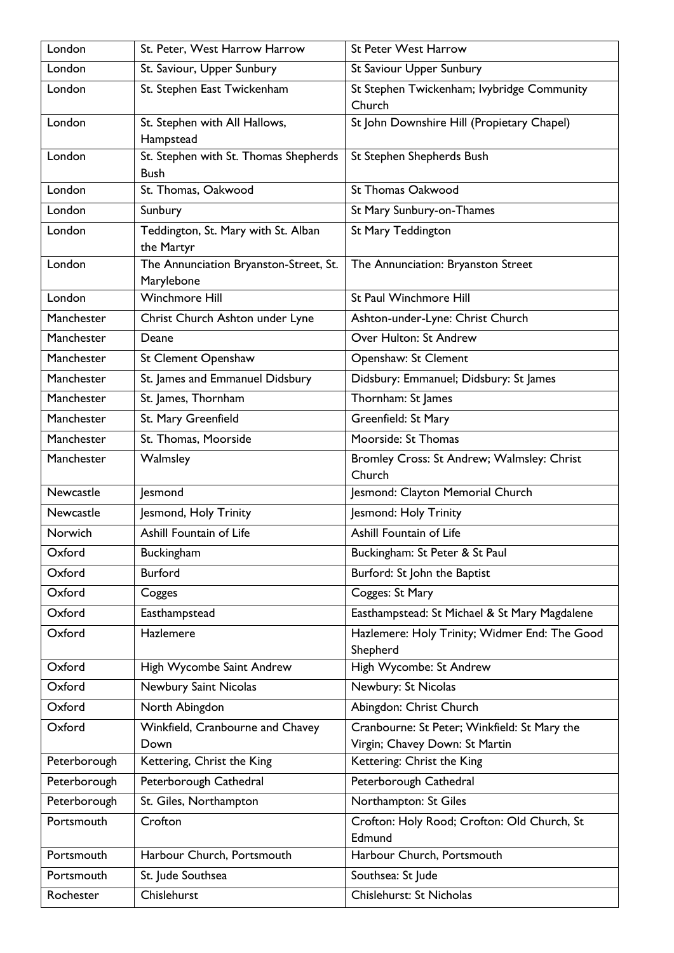| London       | St. Peter, West Harrow Harrow                        | <b>St Peter West Harrow</b>                                                    |
|--------------|------------------------------------------------------|--------------------------------------------------------------------------------|
| London       | St. Saviour, Upper Sunbury                           | St Saviour Upper Sunbury                                                       |
| London       | St. Stephen East Twickenham                          | St Stephen Twickenham; lvybridge Community<br>Church                           |
| London       | St. Stephen with All Hallows,<br>Hampstead           | St John Downshire Hill (Propietary Chapel)                                     |
| London       | St. Stephen with St. Thomas Shepherds<br><b>Bush</b> | St Stephen Shepherds Bush                                                      |
| London       | St. Thomas, Oakwood                                  | <b>St Thomas Oakwood</b>                                                       |
| London       | Sunbury                                              | St Mary Sunbury-on-Thames                                                      |
| London       | Teddington, St. Mary with St. Alban<br>the Martyr    | St Mary Teddington                                                             |
| London       | The Annunciation Bryanston-Street, St.<br>Marylebone | The Annunciation: Bryanston Street                                             |
| London       | <b>Winchmore Hill</b>                                | St Paul Winchmore Hill                                                         |
| Manchester   | Christ Church Ashton under Lyne                      | Ashton-under-Lyne: Christ Church                                               |
| Manchester   | Deane                                                | Over Hulton: St Andrew                                                         |
| Manchester   | St Clement Openshaw                                  | Openshaw: St Clement                                                           |
| Manchester   | St. James and Emmanuel Didsbury                      | Didsbury: Emmanuel; Didsbury: St James                                         |
| Manchester   | St. James, Thornham                                  | Thornham: St James                                                             |
| Manchester   | St. Mary Greenfield                                  | Greenfield: St Mary                                                            |
| Manchester   | St. Thomas, Moorside                                 | Moorside: St Thomas                                                            |
| Manchester   | Walmsley                                             | Bromley Cross: St Andrew; Walmsley: Christ<br>Church                           |
| Newcastle    | lesmond                                              | Jesmond: Clayton Memorial Church                                               |
| Newcastle    | Jesmond, Holy Trinity                                | Jesmond: Holy Trinity                                                          |
| Norwich      | Ashill Fountain of Life                              | Ashill Fountain of Life                                                        |
| Oxford       | Buckingham                                           | Buckingham: St Peter & St Paul                                                 |
| Oxford       | <b>Burford</b>                                       | Burford: St John the Baptist                                                   |
| Oxford       | Cogges                                               | Cogges: St Mary                                                                |
| Oxford       | Easthampstead                                        | Easthampstead: St Michael & St Mary Magdalene                                  |
| Oxford       | Hazlemere                                            | Hazlemere: Holy Trinity; Widmer End: The Good<br>Shepherd                      |
| Oxford       | High Wycombe Saint Andrew                            | High Wycombe: St Andrew                                                        |
| Oxford       | Newbury Saint Nicolas                                | Newbury: St Nicolas                                                            |
| Oxford       | North Abingdon                                       | Abingdon: Christ Church                                                        |
| Oxford       | Winkfield, Cranbourne and Chavey<br>Down             | Cranbourne: St Peter; Winkfield: St Mary the<br>Virgin; Chavey Down: St Martin |
| Peterborough | Kettering, Christ the King                           | Kettering: Christ the King                                                     |
| Peterborough | Peterborough Cathedral                               | Peterborough Cathedral                                                         |
| Peterborough | St. Giles, Northampton                               | Northampton: St Giles                                                          |
| Portsmouth   | Crofton                                              | Crofton: Holy Rood; Crofton: Old Church, St<br>Edmund                          |
| Portsmouth   | Harbour Church, Portsmouth                           | Harbour Church, Portsmouth                                                     |
| Portsmouth   | St. Jude Southsea                                    | Southsea: St Jude                                                              |
| Rochester    | Chislehurst                                          | Chislehurst: St Nicholas                                                       |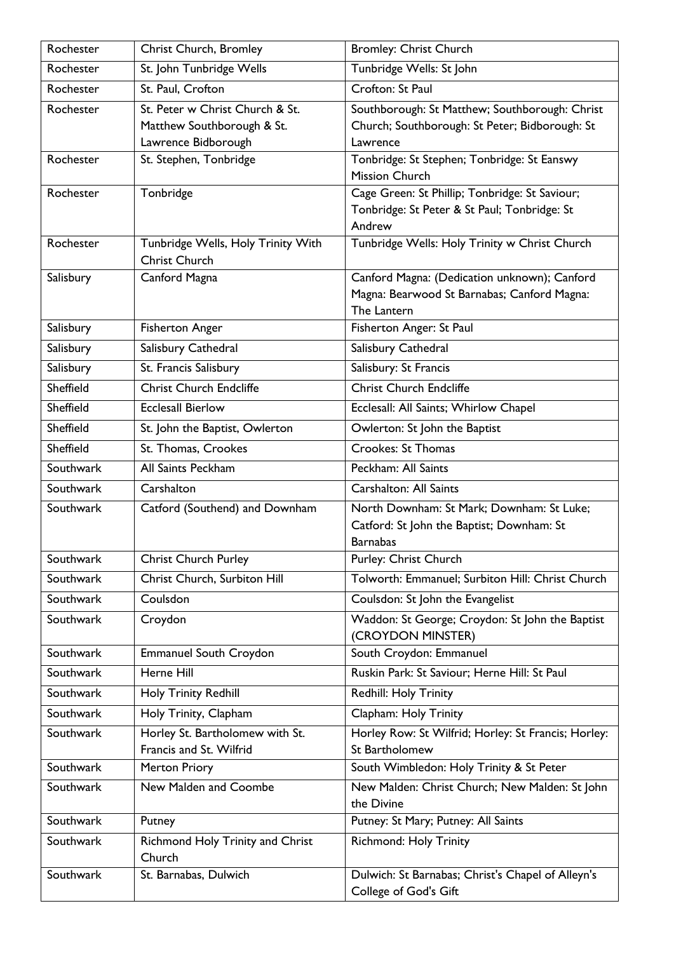| Rochester | Christ Church, Bromley                                     | <b>Bromley: Christ Church</b>                       |
|-----------|------------------------------------------------------------|-----------------------------------------------------|
| Rochester | St. John Tunbridge Wells                                   | Tunbridge Wells: St John                            |
| Rochester | St. Paul, Crofton                                          | Crofton: St Paul                                    |
| Rochester | St. Peter w Christ Church & St.                            | Southborough: St Matthew; Southborough: Christ      |
|           | Matthew Southborough & St.                                 | Church; Southborough: St Peter; Bidborough: St      |
|           | Lawrence Bidborough                                        | Lawrence                                            |
| Rochester | St. Stephen, Tonbridge                                     | Tonbridge: St Stephen; Tonbridge: St Eanswy         |
|           |                                                            | <b>Mission Church</b>                               |
| Rochester | Tonbridge                                                  | Cage Green: St Phillip; Tonbridge: St Saviour;      |
|           |                                                            | Tonbridge: St Peter & St Paul; Tonbridge: St        |
|           |                                                            | Andrew                                              |
| Rochester | Tunbridge Wells, Holy Trinity With<br><b>Christ Church</b> | Tunbridge Wells: Holy Trinity w Christ Church       |
| Salisbury | Canford Magna                                              | Canford Magna: (Dedication unknown); Canford        |
|           |                                                            | Magna: Bearwood St Barnabas; Canford Magna:         |
|           |                                                            | The Lantern                                         |
| Salisbury | <b>Fisherton Anger</b>                                     | Fisherton Anger: St Paul                            |
| Salisbury | Salisbury Cathedral                                        | Salisbury Cathedral                                 |
| Salisbury | St. Francis Salisbury                                      | Salisbury: St Francis                               |
| Sheffield | <b>Christ Church Endcliffe</b>                             | <b>Christ Church Endcliffe</b>                      |
| Sheffield | <b>Ecclesall Bierlow</b>                                   | Ecclesall: All Saints; Whirlow Chapel               |
| Sheffield | St. John the Baptist, Owlerton                             | Owlerton: St John the Baptist                       |
| Sheffield | St. Thomas, Crookes                                        | Crookes: St Thomas                                  |
| Southwark | All Saints Peckham                                         | Peckham: All Saints                                 |
| Southwark | Carshalton                                                 | <b>Carshalton: All Saints</b>                       |
| Southwark | Catford (Southend) and Downham                             | North Downham: St Mark; Downham: St Luke;           |
|           |                                                            | Catford: St John the Baptist; Downham: St           |
|           |                                                            | <b>Barnabas</b>                                     |
| Southwark | <b>Christ Church Purley</b>                                | Purley: Christ Church                               |
| Southwark | Christ Church, Surbiton Hill                               | Tolworth: Emmanuel; Surbiton Hill: Christ Church    |
| Southwark | Coulsdon                                                   | Coulsdon: St John the Evangelist                    |
| Southwark | Croydon                                                    | Waddon: St George; Croydon: St John the Baptist     |
|           |                                                            | (CROYDON MINSTER)                                   |
| Southwark | <b>Emmanuel South Croydon</b>                              | South Croydon: Emmanuel                             |
| Southwark | Herne Hill                                                 | Ruskin Park: St Saviour; Herne Hill: St Paul        |
| Southwark | Holy Trinity Redhill                                       | Redhill: Holy Trinity                               |
| Southwark | Holy Trinity, Clapham                                      | Clapham: Holy Trinity                               |
| Southwark | Horley St. Bartholomew with St.                            | Horley Row: St Wilfrid; Horley: St Francis; Horley: |
|           | Francis and St. Wilfrid                                    | St Bartholomew                                      |
| Southwark | <b>Merton Priory</b>                                       | South Wimbledon: Holy Trinity & St Peter            |
| Southwark | New Malden and Coombe                                      | New Malden: Christ Church; New Malden: St John      |
|           |                                                            | the Divine                                          |
| Southwark | Putney                                                     | Putney: St Mary; Putney: All Saints                 |
| Southwark | Richmond Holy Trinity and Christ<br>Church                 | <b>Richmond: Holy Trinity</b>                       |
| Southwark | St. Barnabas, Dulwich                                      | Dulwich: St Barnabas; Christ's Chapel of Alleyn's   |
|           |                                                            | College of God's Gift                               |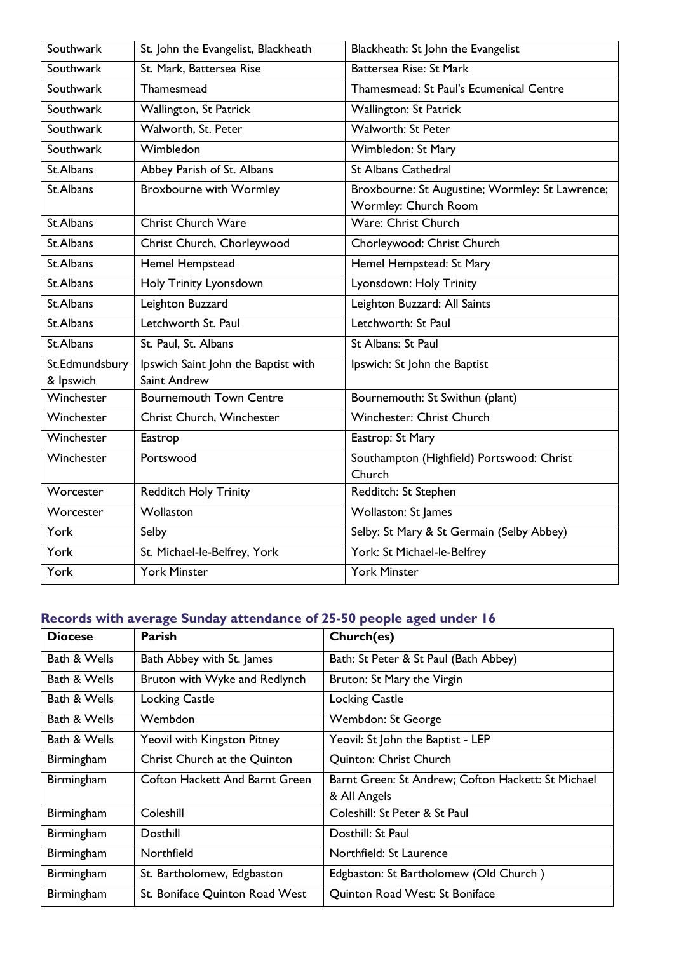| Southwark                   | St. John the Evangelist, Blackheath                 | Blackheath: St John the Evangelist                                      |
|-----------------------------|-----------------------------------------------------|-------------------------------------------------------------------------|
| Southwark                   | St. Mark, Battersea Rise                            | Battersea Rise: St Mark                                                 |
| Southwark                   | Thamesmead                                          | Thamesmead: St Paul's Ecumenical Centre                                 |
| Southwark                   | Wallington, St Patrick                              | Wallington: St Patrick                                                  |
| Southwark                   | Walworth, St. Peter                                 | <b>Walworth: St Peter</b>                                               |
| Southwark                   | Wimbledon                                           | Wimbledon: St Mary                                                      |
| St.Albans                   | Abbey Parish of St. Albans                          | <b>St Albans Cathedral</b>                                              |
| St.Albans                   | <b>Broxbourne with Wormley</b>                      | Broxbourne: St Augustine; Wormley: St Lawrence;<br>Wormley: Church Room |
| St.Albans                   | <b>Christ Church Ware</b>                           | Ware: Christ Church                                                     |
| St.Albans                   | Christ Church, Chorleywood                          | Chorleywood: Christ Church                                              |
| St.Albans                   | Hemel Hempstead                                     | Hemel Hempstead: St Mary                                                |
| St.Albans                   | Holy Trinity Lyonsdown                              | Lyonsdown: Holy Trinity                                                 |
| St.Albans                   | Leighton Buzzard                                    | Leighton Buzzard: All Saints                                            |
| St.Albans                   | Letchworth St. Paul                                 | Letchworth: St Paul                                                     |
| St.Albans                   | St. Paul, St. Albans                                | St Albans: St Paul                                                      |
| St.Edmundsbury<br>& Ipswich | Ipswich Saint John the Baptist with<br>Saint Andrew | Ipswich: St John the Baptist                                            |
| Winchester                  | <b>Bournemouth Town Centre</b>                      | Bournemouth: St Swithun (plant)                                         |
| Winchester                  | Christ Church, Winchester                           | Winchester: Christ Church                                               |
| Winchester                  | Eastrop                                             | Eastrop: St Mary                                                        |
| Winchester                  | Portswood                                           | Southampton (Highfield) Portswood: Christ<br>Church                     |
| Worcester                   | <b>Redditch Holy Trinity</b>                        | Redditch: St Stephen                                                    |
| Worcester                   | Wollaston                                           | Wollaston: St James                                                     |
| York                        | Selby                                               | Selby: St Mary & St Germain (Selby Abbey)                               |
| York                        | St. Michael-le-Belfrey, York                        | York: St Michael-le-Belfrey                                             |
| York                        | <b>York Minster</b>                                 | <b>York Minster</b>                                                     |

## **Records with average Sunday attendance of 25-50 people aged under 16**

| <b>Diocese</b> | <b>Parish</b>                         | Church(es)                                         |
|----------------|---------------------------------------|----------------------------------------------------|
| Bath & Wells   | Bath Abbey with St. James             | Bath: St Peter & St Paul (Bath Abbey)              |
| Bath & Wells   | Bruton with Wyke and Redlynch         | Bruton: St Mary the Virgin                         |
| Bath & Wells   | <b>Locking Castle</b>                 | <b>Locking Castle</b>                              |
| Bath & Wells   | Wembdon                               | Wembdon: St George                                 |
| Bath & Wells   | Yeovil with Kingston Pitney           | Yeovil: St John the Baptist - LEP                  |
| Birmingham     | Christ Church at the Quinton          | Quinton: Christ Church                             |
| Birmingham     | <b>Cofton Hackett And Barnt Green</b> | Barnt Green: St Andrew; Cofton Hackett: St Michael |
|                |                                       | & All Angels                                       |
| Birmingham     | Coleshill                             | Coleshill: St Peter & St Paul                      |
| Birmingham     | Dosthill                              | Dosthill: St Paul                                  |
| Birmingham     | Northfield                            | Northfield: St Laurence                            |
| Birmingham     | St. Bartholomew, Edgbaston            | Edgbaston: St Bartholomew (Old Church)             |
| Birmingham     | St. Boniface Quinton Road West        | Quinton Road West: St Boniface                     |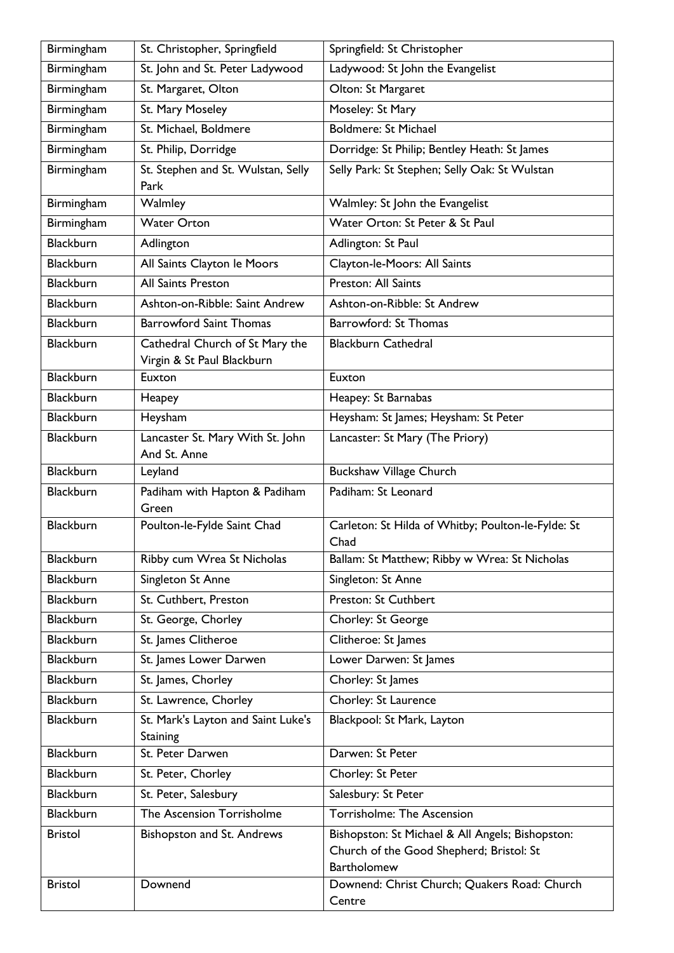| Birmingham       | St. Christopher, Springfield                                  | Springfield: St Christopher                                                                                        |
|------------------|---------------------------------------------------------------|--------------------------------------------------------------------------------------------------------------------|
| Birmingham       | St. John and St. Peter Ladywood                               | Ladywood: St John the Evangelist                                                                                   |
| Birmingham       | St. Margaret, Olton                                           | Olton: St Margaret                                                                                                 |
| Birmingham       | St. Mary Moseley                                              | Moseley: St Mary                                                                                                   |
| Birmingham       | St. Michael, Boldmere                                         | <b>Boldmere: St Michael</b>                                                                                        |
| Birmingham       | St. Philip, Dorridge                                          | Dorridge: St Philip; Bentley Heath: St James                                                                       |
| Birmingham       | St. Stephen and St. Wulstan, Selly<br>Park                    | Selly Park: St Stephen; Selly Oak: St Wulstan                                                                      |
| Birmingham       | Walmley                                                       | Walmley: St John the Evangelist                                                                                    |
| Birmingham       | <b>Water Orton</b>                                            | Water Orton: St Peter & St Paul                                                                                    |
| <b>Blackburn</b> | Adlington                                                     | Adlington: St Paul                                                                                                 |
| <b>Blackburn</b> | All Saints Clayton le Moors                                   | Clayton-le-Moors: All Saints                                                                                       |
| <b>Blackburn</b> | All Saints Preston                                            | Preston: All Saints                                                                                                |
| <b>Blackburn</b> | Ashton-on-Ribble: Saint Andrew                                | Ashton-on-Ribble: St Andrew                                                                                        |
| <b>Blackburn</b> | <b>Barrowford Saint Thomas</b>                                | <b>Barrowford: St Thomas</b>                                                                                       |
| Blackburn        | Cathedral Church of St Mary the<br>Virgin & St Paul Blackburn | <b>Blackburn Cathedral</b>                                                                                         |
| <b>Blackburn</b> | Euxton                                                        | Euxton                                                                                                             |
| <b>Blackburn</b> | Heapey                                                        | Heapey: St Barnabas                                                                                                |
| <b>Blackburn</b> | Heysham                                                       | Heysham: St James; Heysham: St Peter                                                                               |
| <b>Blackburn</b> | Lancaster St. Mary With St. John<br>And St. Anne              | Lancaster: St Mary (The Priory)                                                                                    |
| <b>Blackburn</b> | Leyland                                                       | <b>Buckshaw Village Church</b>                                                                                     |
| <b>Blackburn</b> | Padiham with Hapton & Padiham<br>Green                        | Padiham: St Leonard                                                                                                |
| Blackburn        | Poulton-le-Fylde Saint Chad                                   | Carleton: St Hilda of Whitby; Poulton-le-Fylde: St<br>Chad                                                         |
| <b>Blackburn</b> | Ribby cum Wrea St Nicholas                                    | Ballam: St Matthew; Ribby w Wrea: St Nicholas                                                                      |
| <b>Blackburn</b> | Singleton St Anne                                             | Singleton: St Anne                                                                                                 |
| <b>Blackburn</b> | St. Cuthbert, Preston                                         | Preston: St Cuthbert                                                                                               |
| <b>Blackburn</b> | St. George, Chorley                                           | Chorley: St George                                                                                                 |
| <b>Blackburn</b> | St. James Clitheroe                                           | Clitheroe: St James                                                                                                |
| <b>Blackburn</b> | St. James Lower Darwen                                        | Lower Darwen: St James                                                                                             |
| <b>Blackburn</b> | St. James, Chorley                                            | Chorley: St James                                                                                                  |
| <b>Blackburn</b> | St. Lawrence, Chorley                                         | Chorley: St Laurence                                                                                               |
| <b>Blackburn</b> | St. Mark's Layton and Saint Luke's                            | Blackpool: St Mark, Layton                                                                                         |
|                  | Staining                                                      | Darwen: St Peter                                                                                                   |
| <b>Blackburn</b> | St. Peter Darwen                                              |                                                                                                                    |
| <b>Blackburn</b> | St. Peter, Chorley                                            | Chorley: St Peter                                                                                                  |
| <b>Blackburn</b> | St. Peter, Salesbury                                          | Salesbury: St Peter                                                                                                |
| <b>Blackburn</b> | The Ascension Torrisholme                                     | Torrisholme: The Ascension                                                                                         |
| <b>Bristol</b>   | Bishopston and St. Andrews                                    | Bishopston: St Michael & All Angels; Bishopston:<br>Church of the Good Shepherd; Bristol: St<br><b>Bartholomew</b> |
| <b>Bristol</b>   | Downend                                                       | Downend: Christ Church; Quakers Road: Church<br>Centre                                                             |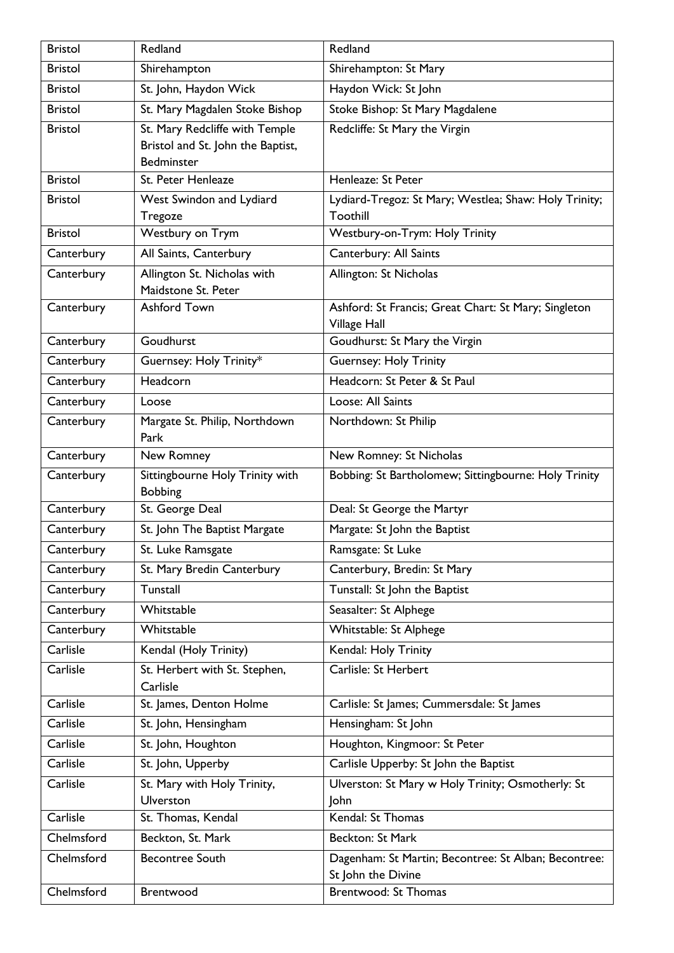| <b>Bristol</b> | Redland                                                                           | Redland                                                                    |
|----------------|-----------------------------------------------------------------------------------|----------------------------------------------------------------------------|
| <b>Bristol</b> | Shirehampton                                                                      | Shirehampton: St Mary                                                      |
| <b>Bristol</b> | St. John, Haydon Wick                                                             | Haydon Wick: St John                                                       |
| <b>Bristol</b> | St. Mary Magdalen Stoke Bishop                                                    | Stoke Bishop: St Mary Magdalene                                            |
| <b>Bristol</b> | St. Mary Redcliffe with Temple<br>Bristol and St. John the Baptist,<br>Bedminster | Redcliffe: St Mary the Virgin                                              |
| <b>Bristol</b> | St. Peter Henleaze                                                                | Henleaze: St Peter                                                         |
| <b>Bristol</b> | West Swindon and Lydiard<br>Tregoze                                               | Lydiard-Tregoz: St Mary; Westlea; Shaw: Holy Trinity;<br>Toothill          |
| <b>Bristol</b> | Westbury on Trym                                                                  | Westbury-on-Trym: Holy Trinity                                             |
| Canterbury     | All Saints, Canterbury                                                            | Canterbury: All Saints                                                     |
| Canterbury     | Allington St. Nicholas with<br>Maidstone St. Peter                                | Allington: St Nicholas                                                     |
| Canterbury     | Ashford Town                                                                      | Ashford: St Francis; Great Chart: St Mary; Singleton<br>Village Hall       |
| Canterbury     | Goudhurst                                                                         | Goudhurst: St Mary the Virgin                                              |
| Canterbury     | Guernsey: Holy Trinity*                                                           | <b>Guernsey: Holy Trinity</b>                                              |
| Canterbury     | Headcorn                                                                          | Headcorn: St Peter & St Paul                                               |
| Canterbury     | Loose                                                                             | Loose: All Saints                                                          |
| Canterbury     | Margate St. Philip, Northdown<br>Park                                             | Northdown: St Philip                                                       |
| Canterbury     | New Romney                                                                        | New Romney: St Nicholas                                                    |
| Canterbury     | Sittingbourne Holy Trinity with<br><b>Bobbing</b>                                 | Bobbing: St Bartholomew; Sittingbourne: Holy Trinity                       |
| Canterbury     | St. George Deal                                                                   | Deal: St George the Martyr                                                 |
| Canterbury     | St. John The Baptist Margate                                                      | Margate: St John the Baptist                                               |
| Canterbury     | St. Luke Ramsgate                                                                 | Ramsgate: St Luke                                                          |
| Canterbury     | St. Mary Bredin Canterbury                                                        | Canterbury, Bredin: St Mary                                                |
| Canterbury     | Tunstall                                                                          | Tunstall: St John the Baptist                                              |
| Canterbury     | Whitstable                                                                        | Seasalter: St Alphege                                                      |
| Canterbury     | Whitstable                                                                        | Whitstable: St Alphege                                                     |
| Carlisle       | Kendal (Holy Trinity)                                                             | Kendal: Holy Trinity                                                       |
| Carlisle       | St. Herbert with St. Stephen,<br>Carlisle                                         | Carlisle: St Herbert                                                       |
| Carlisle       | St. James, Denton Holme                                                           | Carlisle: St James; Cummersdale: St James                                  |
| Carlisle       | St. John, Hensingham                                                              | Hensingham: St John                                                        |
| Carlisle       | St. John, Houghton                                                                | Houghton, Kingmoor: St Peter                                               |
| Carlisle       | St. John, Upperby                                                                 | Carlisle Upperby: St John the Baptist                                      |
| Carlisle       | St. Mary with Holy Trinity,<br><b>Ulverston</b>                                   | Ulverston: St Mary w Holy Trinity; Osmotherly: St<br>John                  |
| Carlisle       | St. Thomas, Kendal                                                                | Kendal: St Thomas                                                          |
| Chelmsford     | Beckton, St. Mark                                                                 | Beckton: St Mark                                                           |
| Chelmsford     | <b>Becontree South</b>                                                            | Dagenham: St Martin; Becontree: St Alban; Becontree:<br>St John the Divine |
| Chelmsford     | Brentwood                                                                         | Brentwood: St Thomas                                                       |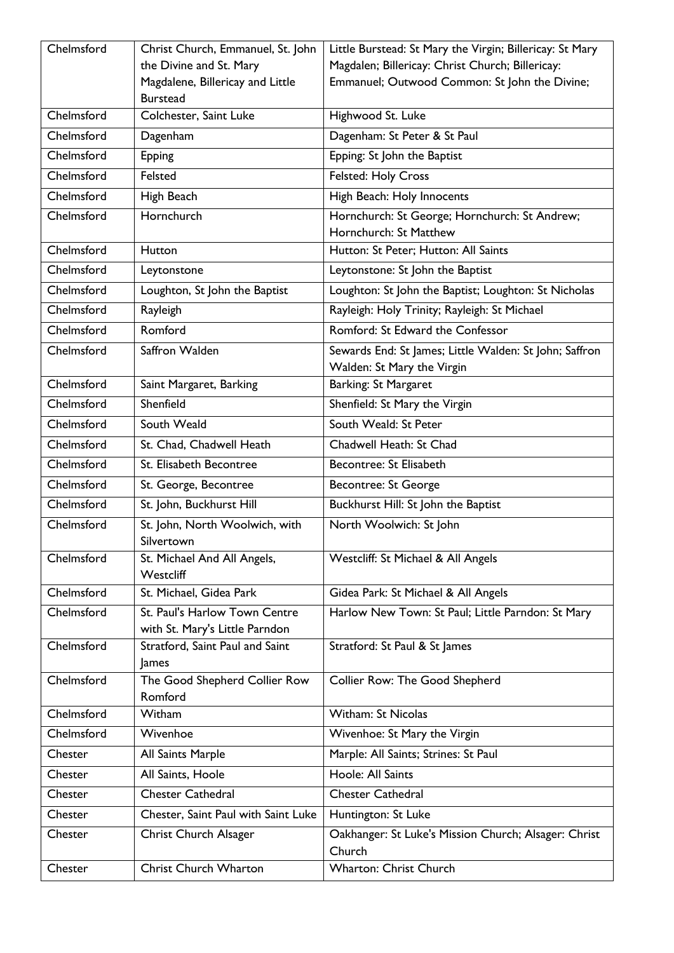| Chelmsford | Christ Church, Emmanuel, St. John         | Little Burstead: St Mary the Virgin; Billericay: St Mary                |
|------------|-------------------------------------------|-------------------------------------------------------------------------|
|            | the Divine and St. Mary                   | Magdalen; Billericay: Christ Church; Billericay:                        |
|            | Magdalene, Billericay and Little          | Emmanuel; Outwood Common: St John the Divine;                           |
| Chelmsford | <b>Burstead</b><br>Colchester, Saint Luke | Highwood St. Luke                                                       |
| Chelmsford | Dagenham                                  | Dagenham: St Peter & St Paul                                            |
| Chelmsford | <b>Epping</b>                             | Epping: St John the Baptist                                             |
| Chelmsford | Felsted                                   |                                                                         |
|            |                                           | Felsted: Holy Cross                                                     |
| Chelmsford | High Beach                                | High Beach: Holy Innocents                                              |
| Chelmsford | Hornchurch                                | Hornchurch: St George; Hornchurch: St Andrew;<br>Hornchurch: St Matthew |
| Chelmsford | Hutton                                    | Hutton: St Peter; Hutton: All Saints                                    |
| Chelmsford |                                           |                                                                         |
|            | Leytonstone                               | Leytonstone: St John the Baptist                                        |
| Chelmsford | Loughton, St John the Baptist             | Loughton: St John the Baptist; Loughton: St Nicholas                    |
| Chelmsford | Rayleigh                                  | Rayleigh: Holy Trinity; Rayleigh: St Michael                            |
| Chelmsford | Romford                                   | Romford: St Edward the Confessor                                        |
| Chelmsford | Saffron Walden                            | Sewards End: St James; Little Walden: St John; Saffron                  |
|            |                                           | Walden: St Mary the Virgin                                              |
| Chelmsford | Saint Margaret, Barking                   | Barking: St Margaret                                                    |
| Chelmsford | Shenfield                                 | Shenfield: St Mary the Virgin                                           |
| Chelmsford | South Weald                               | South Weald: St Peter                                                   |
| Chelmsford | St. Chad, Chadwell Heath                  | Chadwell Heath: St Chad                                                 |
| Chelmsford | St. Elisabeth Becontree                   | Becontree: St Elisabeth                                                 |
| Chelmsford | St. George, Becontree                     | Becontree: St George                                                    |
| Chelmsford | St. John, Buckhurst Hill                  | Buckhurst Hill: St John the Baptist                                     |
| Chelmsford | St. John, North Woolwich, with            | North Woolwich: St John                                                 |
| Chelmsford | Silvertown                                | Westcliff: St Michael & All Angels                                      |
|            | St. Michael And All Angels,<br>Westcliff  |                                                                         |
| Chelmsford | St. Michael, Gidea Park                   | Gidea Park: St Michael & All Angels                                     |
| Chelmsford | St. Paul's Harlow Town Centre             | Harlow New Town: St Paul; Little Parndon: St Mary                       |
|            | with St. Mary's Little Parndon            |                                                                         |
| Chelmsford | Stratford, Saint Paul and Saint<br>James  | Stratford: St Paul & St James                                           |
| Chelmsford | The Good Shepherd Collier Row             | Collier Row: The Good Shepherd                                          |
|            | Romford                                   |                                                                         |
| Chelmsford | Witham                                    | Witham: St Nicolas                                                      |
| Chelmsford | Wivenhoe                                  | Wivenhoe: St Mary the Virgin                                            |
| Chester    | All Saints Marple                         | Marple: All Saints; Strines: St Paul                                    |
| Chester    | All Saints, Hoole                         | Hoole: All Saints                                                       |
| Chester    | <b>Chester Cathedral</b>                  | <b>Chester Cathedral</b>                                                |
| Chester    | Chester, Saint Paul with Saint Luke       | Huntington: St Luke                                                     |
| Chester    | Christ Church Alsager                     | Oakhanger: St Luke's Mission Church; Alsager: Christ<br>Church          |
| Chester    | Christ Church Wharton                     | Wharton: Christ Church                                                  |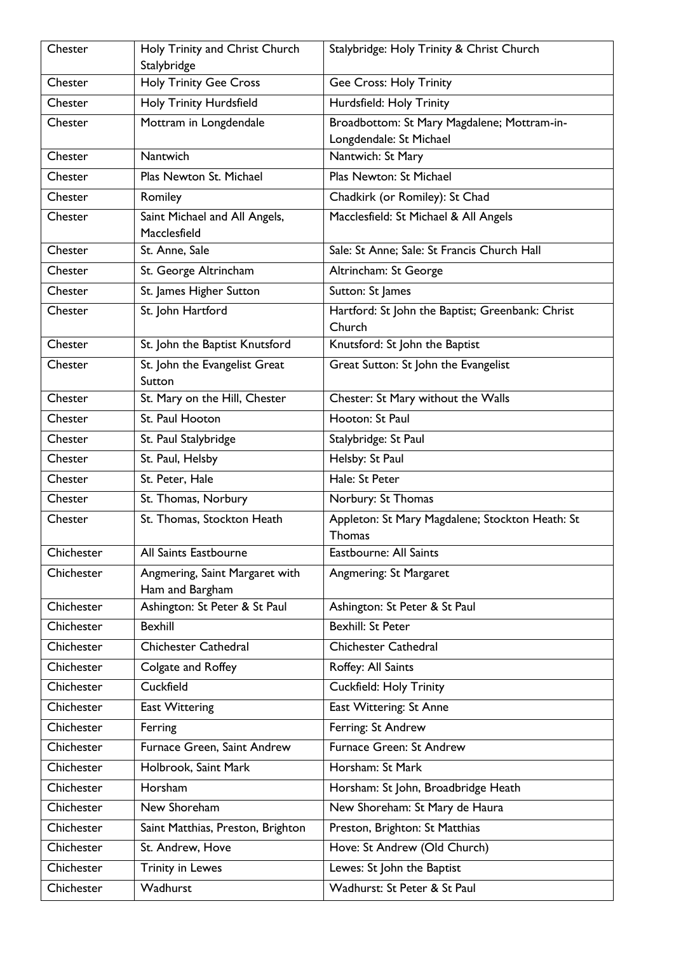| Chester    | Holy Trinity and Christ Church                   | Stalybridge: Holy Trinity & Christ Church                              |
|------------|--------------------------------------------------|------------------------------------------------------------------------|
|            | Stalybridge                                      |                                                                        |
| Chester    | <b>Holy Trinity Gee Cross</b>                    | <b>Gee Cross: Holy Trinity</b>                                         |
| Chester    | Holy Trinity Hurdsfield                          | Hurdsfield: Holy Trinity                                               |
| Chester    | Mottram in Longdendale                           | Broadbottom: St Mary Magdalene; Mottram-in-<br>Longdendale: St Michael |
| Chester    | Nantwich                                         | Nantwich: St Mary                                                      |
| Chester    | Plas Newton St. Michael                          | Plas Newton: St Michael                                                |
| Chester    | Romiley                                          | Chadkirk (or Romiley): St Chad                                         |
| Chester    | Saint Michael and All Angels,                    | Macclesfield: St Michael & All Angels                                  |
|            | Macclesfield                                     |                                                                        |
| Chester    | St. Anne, Sale                                   | Sale: St Anne; Sale: St Francis Church Hall                            |
| Chester    | St. George Altrincham                            | Altrincham: St George                                                  |
| Chester    | St. James Higher Sutton                          | Sutton: St James                                                       |
| Chester    | St. John Hartford                                | Hartford: St John the Baptist; Greenbank: Christ                       |
|            |                                                  | Church                                                                 |
| Chester    | St. John the Baptist Knutsford                   | Knutsford: St John the Baptist                                         |
| Chester    | St. John the Evangelist Great                    | Great Sutton: St John the Evangelist                                   |
| Chester    | Sutton<br>St. Mary on the Hill, Chester          | Chester: St Mary without the Walls                                     |
| Chester    | St. Paul Hooton                                  | Hooton: St Paul                                                        |
| Chester    | St. Paul Stalybridge                             | Stalybridge: St Paul                                                   |
| Chester    | St. Paul, Helsby                                 | Helsby: St Paul                                                        |
| Chester    | St. Peter, Hale                                  | Hale: St Peter                                                         |
| Chester    | St. Thomas, Norbury                              | Norbury: St Thomas                                                     |
| Chester    | St. Thomas, Stockton Heath                       | Appleton: St Mary Magdalene; Stockton Heath: St                        |
|            |                                                  | Thomas                                                                 |
| Chichester | All Saints Eastbourne                            | <b>Eastbourne: All Saints</b>                                          |
| Chichester | Angmering, Saint Margaret with                   | Angmering: St Margaret                                                 |
| Chichester | Ham and Bargham<br>Ashington: St Peter & St Paul | Ashington: St Peter & St Paul                                          |
| Chichester | <b>Bexhill</b>                                   | <b>Bexhill: St Peter</b>                                               |
|            |                                                  | Chichester Cathedral                                                   |
| Chichester | <b>Chichester Cathedral</b>                      |                                                                        |
| Chichester | Colgate and Roffey                               | Roffey: All Saints                                                     |
| Chichester | Cuckfield                                        | Cuckfield: Holy Trinity                                                |
| Chichester | <b>East Wittering</b>                            | East Wittering: St Anne                                                |
| Chichester | Ferring                                          | Ferring: St Andrew                                                     |
| Chichester | Furnace Green, Saint Andrew                      | Furnace Green: St Andrew                                               |
| Chichester | Holbrook, Saint Mark                             | Horsham: St Mark                                                       |
| Chichester | Horsham                                          | Horsham: St John, Broadbridge Heath                                    |
| Chichester | New Shoreham                                     | New Shoreham: St Mary de Haura                                         |
| Chichester | Saint Matthias, Preston, Brighton                | Preston, Brighton: St Matthias                                         |
| Chichester | St. Andrew, Hove                                 | Hove: St Andrew (Old Church)                                           |
| Chichester | <b>Trinity in Lewes</b>                          | Lewes: St John the Baptist                                             |
| Chichester | Wadhurst                                         | Wadhurst: St Peter & St Paul                                           |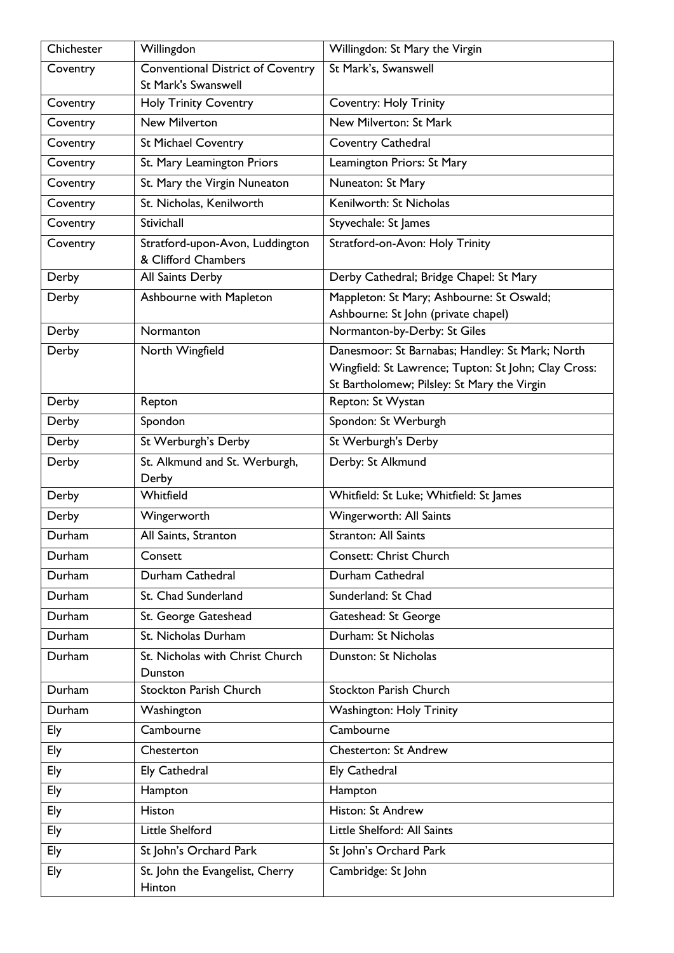| Chichester | Willingdon                                             | Willingdon: St Mary the Virgin                                   |
|------------|--------------------------------------------------------|------------------------------------------------------------------|
| Coventry   | <b>Conventional District of Coventry</b>               | St Mark's, Swanswell                                             |
|            | <b>St Mark's Swanswell</b>                             |                                                                  |
| Coventry   | <b>Holy Trinity Coventry</b>                           | <b>Coventry: Holy Trinity</b>                                    |
| Coventry   | <b>New Milverton</b>                                   | New Milverton: St Mark                                           |
| Coventry   | <b>St Michael Coventry</b>                             | Coventry Cathedral                                               |
| Coventry   | St. Mary Leamington Priors                             | Leamington Priors: St Mary                                       |
| Coventry   | St. Mary the Virgin Nuneaton                           | Nuneaton: St Mary                                                |
| Coventry   | St. Nicholas, Kenilworth                               | Kenilworth: St Nicholas                                          |
| Coventry   | Stivichall                                             | Styvechale: St James                                             |
| Coventry   | Stratford-upon-Avon, Luddington<br>& Clifford Chambers | Stratford-on-Avon: Holy Trinity                                  |
| Derby      | All Saints Derby                                       | Derby Cathedral; Bridge Chapel: St Mary                          |
| Derby      | Ashbourne with Mapleton                                | Mappleton: St Mary; Ashbourne: St Oswald;                        |
|            |                                                        | Ashbourne: St John (private chapel)                              |
| Derby      | Normanton                                              | Normanton-by-Derby: St Giles                                     |
| Derby      | North Wingfield                                        | Danesmoor: St Barnabas; Handley: St Mark; North                  |
|            |                                                        | Wingfield: St Lawrence; Tupton: St John; Clay Cross:             |
| Derby      | Repton                                                 | St Bartholomew; Pilsley: St Mary the Virgin<br>Repton: St Wystan |
| Derby      | Spondon                                                | Spondon: St Werburgh                                             |
|            |                                                        | St Werburgh's Derby                                              |
| Derby      | St Werburgh's Derby                                    |                                                                  |
| Derby      | St. Alkmund and St. Werburgh,<br>Derby                 | Derby: St Alkmund                                                |
| Derby      | Whitfield                                              | Whitfield: St Luke; Whitfield: St James                          |
| Derby      | Wingerworth                                            | Wingerworth: All Saints                                          |
| Durham     | All Saints, Stranton                                   | <b>Stranton: All Saints</b>                                      |
| Durham     | Consett                                                | <b>Consett: Christ Church</b>                                    |
| Durham     | Durham Cathedral                                       | Durham Cathedral                                                 |
| Durham     | St. Chad Sunderland                                    | Sunderland: St Chad                                              |
| Durham     | St. George Gateshead                                   | Gateshead: St George                                             |
| Durham     | St. Nicholas Durham                                    | Durham: St Nicholas                                              |
| Durham     | St. Nicholas with Christ Church                        | Dunston: St Nicholas                                             |
|            | Dunston                                                |                                                                  |
| Durham     | <b>Stockton Parish Church</b>                          | <b>Stockton Parish Church</b>                                    |
| Durham     | Washington                                             | <b>Washington: Holy Trinity</b>                                  |
| Ely        | Cambourne                                              | Cambourne                                                        |
| Ely        | Chesterton                                             | <b>Chesterton: St Andrew</b>                                     |
| Ely        | <b>Ely Cathedral</b>                                   | <b>Ely Cathedral</b>                                             |
| Ely        | Hampton                                                | Hampton                                                          |
| Ely        | Histon                                                 | Histon: St Andrew                                                |
| Ely        | Little Shelford                                        | Little Shelford: All Saints                                      |
| Ely        | St John's Orchard Park                                 | St John's Orchard Park                                           |
| Ely        | St. John the Evangelist, Cherry                        | Cambridge: St John                                               |
|            | Hinton                                                 |                                                                  |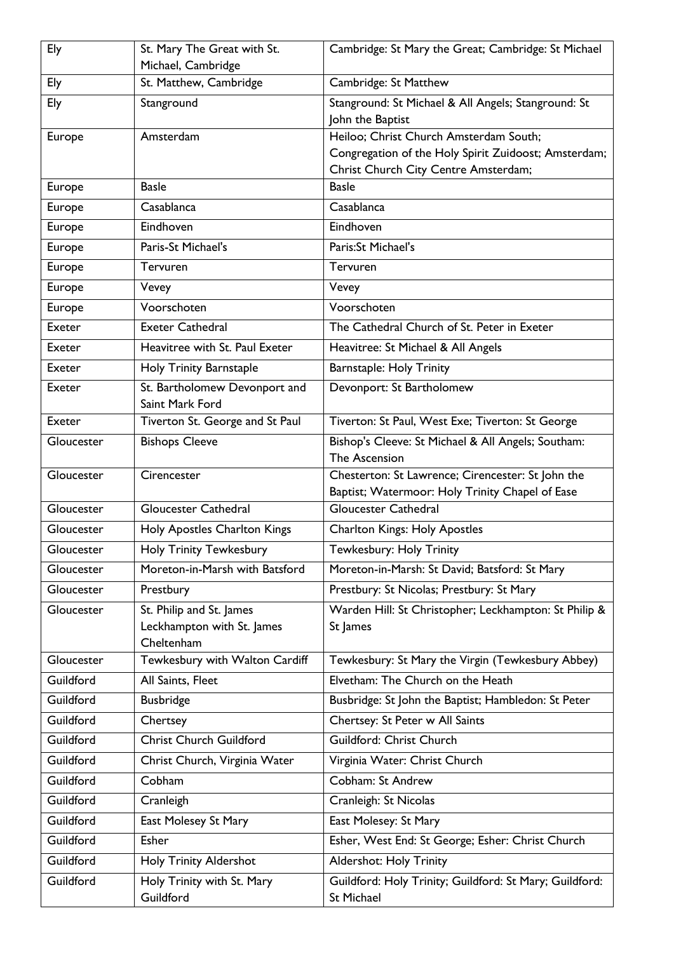| Ely        | St. Mary The Great with St.                                          | Cambridge: St Mary the Great; Cambridge: St Michael                                                  |
|------------|----------------------------------------------------------------------|------------------------------------------------------------------------------------------------------|
|            | Michael, Cambridge                                                   |                                                                                                      |
| Ely        | St. Matthew, Cambridge                                               | Cambridge: St Matthew                                                                                |
| Ely        | Stanground                                                           | Stanground: St Michael & All Angels; Stanground: St                                                  |
|            | Amsterdam                                                            | John the Baptist<br>Heiloo; Christ Church Amsterdam South;                                           |
| Europe     |                                                                      | Congregation of the Holy Spirit Zuidoost; Amsterdam;                                                 |
|            |                                                                      | Christ Church City Centre Amsterdam;                                                                 |
| Europe     | <b>Basle</b>                                                         | <b>Basle</b>                                                                                         |
| Europe     | Casablanca                                                           | Casablanca                                                                                           |
| Europe     | Eindhoven                                                            | Eindhoven                                                                                            |
| Europe     | Paris-St Michael's                                                   | Paris:St Michael's                                                                                   |
| Europe     | Tervuren                                                             | Tervuren                                                                                             |
| Europe     | Vevey                                                                | Vevey                                                                                                |
| Europe     | Voorschoten                                                          | Voorschoten                                                                                          |
| Exeter     | <b>Exeter Cathedral</b>                                              | The Cathedral Church of St. Peter in Exeter                                                          |
| Exeter     | Heavitree with St. Paul Exeter                                       | Heavitree: St Michael & All Angels                                                                   |
| Exeter     | Holy Trinity Barnstaple                                              | <b>Barnstaple: Holy Trinity</b>                                                                      |
| Exeter     | St. Bartholomew Devonport and                                        | Devonport: St Bartholomew                                                                            |
|            | Saint Mark Ford                                                      |                                                                                                      |
| Exeter     | Tiverton St. George and St Paul                                      | Tiverton: St Paul, West Exe; Tiverton: St George                                                     |
| Gloucester | <b>Bishops Cleeve</b>                                                | Bishop's Cleeve: St Michael & All Angels; Southam:<br>The Ascension                                  |
| Gloucester | Cirencester                                                          | Chesterton: St Lawrence; Cirencester: St John the<br>Baptist; Watermoor: Holy Trinity Chapel of Ease |
| Gloucester | <b>Gloucester Cathedral</b>                                          | <b>Gloucester Cathedral</b>                                                                          |
| Gloucester | Holy Apostles Charlton Kings                                         | <b>Charlton Kings: Holy Apostles</b>                                                                 |
| Gloucester | <b>Holy Trinity Tewkesbury</b>                                       | Tewkesbury: Holy Trinity                                                                             |
| Gloucester | Moreton-in-Marsh with Batsford                                       | Moreton-in-Marsh: St David; Batsford: St Mary                                                        |
| Gloucester | Prestbury                                                            | Prestbury: St Nicolas; Prestbury: St Mary                                                            |
| Gloucester | St. Philip and St. James<br>Leckhampton with St. James<br>Cheltenham | Warden Hill: St Christopher; Leckhampton: St Philip &<br>St James                                    |
| Gloucester | Tewkesbury with Walton Cardiff                                       | Tewkesbury: St Mary the Virgin (Tewkesbury Abbey)                                                    |
| Guildford  | All Saints, Fleet                                                    | Elvetham: The Church on the Heath                                                                    |
| Guildford  | <b>Busbridge</b>                                                     | Busbridge: St John the Baptist; Hambledon: St Peter                                                  |
| Guildford  | Chertsey                                                             | Chertsey: St Peter w All Saints                                                                      |
| Guildford  | <b>Christ Church Guildford</b>                                       | Guildford: Christ Church                                                                             |
| Guildford  | Christ Church, Virginia Water                                        | Virginia Water: Christ Church                                                                        |
| Guildford  | Cobham                                                               | Cobham: St Andrew                                                                                    |
| Guildford  | Cranleigh                                                            | Cranleigh: St Nicolas                                                                                |
| Guildford  | East Molesey St Mary                                                 | East Molesey: St Mary                                                                                |
| Guildford  | Esher                                                                | Esher, West End: St George; Esher: Christ Church                                                     |
| Guildford  | <b>Holy Trinity Aldershot</b>                                        | <b>Aldershot: Holy Trinity</b>                                                                       |
| Guildford  | Holy Trinity with St. Mary<br>Guildford                              | Guildford: Holy Trinity; Guildford: St Mary; Guildford:<br>St Michael                                |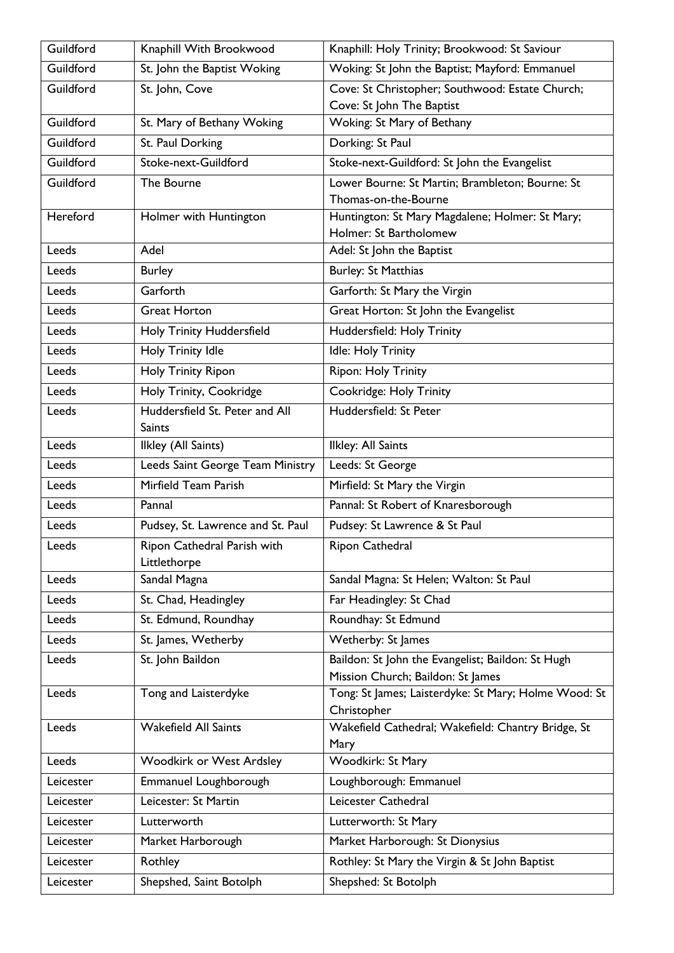| Guildford | Knaphill With Brookwood                         | Knaphill: Holy Trinity; Brookwood: St Saviour                             |
|-----------|-------------------------------------------------|---------------------------------------------------------------------------|
| Guildford | St. John the Baptist Woking                     | Woking: St John the Baptist; Mayford: Emmanuel                            |
| Guildford | St. John, Cove                                  | Cove: St Christopher; Southwood: Estate Church;                           |
|           |                                                 | Cove: St John The Baptist                                                 |
| Guildford | St. Mary of Bethany Woking                      | Woking: St Mary of Bethany                                                |
| Guildford | St. Paul Dorking                                | Dorking: St Paul                                                          |
| Guildford | Stoke-next-Guildford                            | Stoke-next-Guildford: St John the Evangelist                              |
| Guildford | The Bourne                                      | Lower Bourne: St Martin; Brambleton; Bourne: St                           |
|           |                                                 | Thomas-on-the-Bourne                                                      |
| Hereford  | Holmer with Huntington                          | Huntington: St Mary Magdalene; Holmer: St Mary;<br>Holmer: St Bartholomew |
| Leeds     | Adel                                            | Adel: St John the Baptist                                                 |
| Leeds     | <b>Burley</b>                                   | <b>Burley: St Matthias</b>                                                |
| Leeds     | Garforth                                        | Garforth: St Mary the Virgin                                              |
| Leeds     | <b>Great Horton</b>                             | Great Horton: St John the Evangelist                                      |
| Leeds     | Holy Trinity Huddersfield                       | Huddersfield: Holy Trinity                                                |
|           |                                                 |                                                                           |
| Leeds     | Holy Trinity Idle                               | Idle: Holy Trinity                                                        |
| Leeds     | Holy Trinity Ripon                              | Ripon: Holy Trinity                                                       |
| Leeds     | Holy Trinity, Cookridge                         | Cookridge: Holy Trinity                                                   |
| Leeds     | Huddersfield St. Peter and All<br><b>Saints</b> | Huddersfield: St Peter                                                    |
| Leeds     | Ilkley (All Saints)                             | Ilkley: All Saints                                                        |
| Leeds     | Leeds Saint George Team Ministry                | Leeds: St George                                                          |
| Leeds     | Mirfield Team Parish                            | Mirfield: St Mary the Virgin                                              |
| Leeds     | Pannal                                          | Pannal: St Robert of Knaresborough                                        |
| Leeds     | Pudsey, St. Lawrence and St. Paul               | Pudsey: St Lawrence & St Paul                                             |
| Leeds     | Ripon Cathedral Parish with<br>Littlethorpe     | Ripon Cathedral                                                           |
| Leeds     | Sandal Magna                                    | Sandal Magna: St Helen; Walton: St Paul                                   |
| Leeds     | St. Chad, Headingley                            | Far Headingley: St Chad                                                   |
| Leeds     | St. Edmund, Roundhay                            | Roundhay: St Edmund                                                       |
| Leeds     | St. James, Wetherby                             | Wetherby: St James                                                        |
| Leeds     | St. John Baildon                                | Baildon: St John the Evangelist; Baildon: St Hugh                         |
|           |                                                 | Mission Church; Baildon: St James                                         |
| Leeds     | Tong and Laisterdyke                            | Tong: St James; Laisterdyke: St Mary; Holme Wood: St                      |
|           |                                                 | Christopher                                                               |
| Leeds     | <b>Wakefield All Saints</b>                     | Wakefield Cathedral; Wakefield: Chantry Bridge, St                        |
|           |                                                 | Mary                                                                      |
| Leeds     | <b>Woodkirk or West Ardsley</b>                 | Woodkirk: St Mary                                                         |
| Leicester | Emmanuel Loughborough                           | Loughborough: Emmanuel                                                    |
| Leicester | Leicester: St Martin                            | Leicester Cathedral                                                       |
| Leicester | Lutterworth                                     | Lutterworth: St Mary                                                      |
| Leicester | Market Harborough                               | Market Harborough: St Dionysius                                           |
| Leicester | Rothley                                         | Rothley: St Mary the Virgin & St John Baptist                             |
| Leicester | Shepshed, Saint Botolph                         | Shepshed: St Botolph                                                      |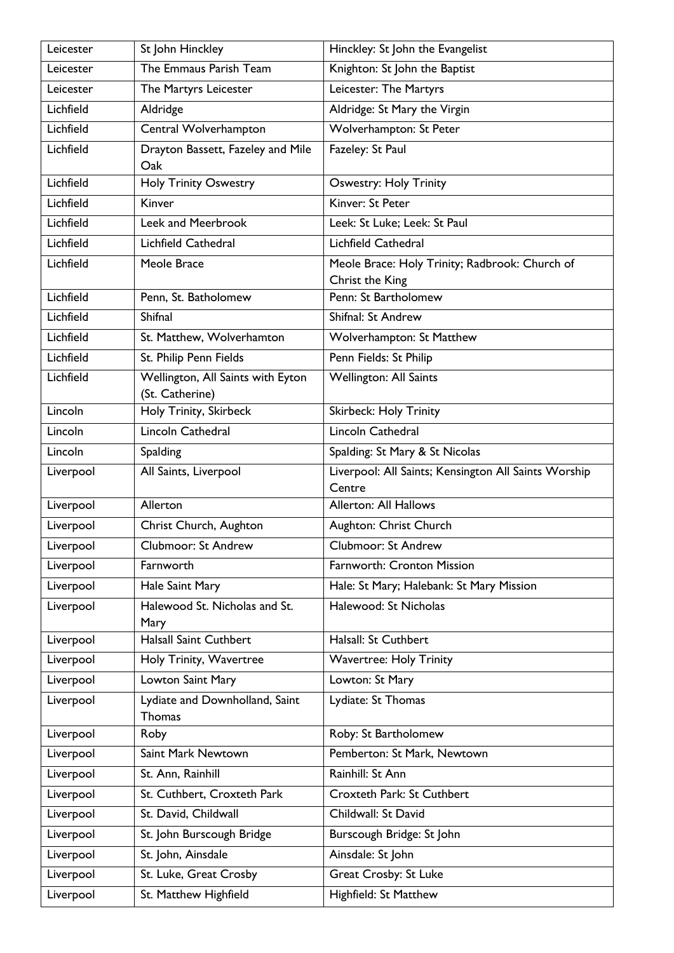| Leicester | St John Hinckley                                     | Hinckley: St John the Evangelist                               |
|-----------|------------------------------------------------------|----------------------------------------------------------------|
| Leicester | The Emmaus Parish Team                               | Knighton: St John the Baptist                                  |
| Leicester | The Martyrs Leicester                                | Leicester: The Martyrs                                         |
| Lichfield | Aldridge                                             | Aldridge: St Mary the Virgin                                   |
| Lichfield | Central Wolverhampton                                | Wolverhampton: St Peter                                        |
| Lichfield | Drayton Bassett, Fazeley and Mile<br>Oak             | Fazeley: St Paul                                               |
| Lichfield | <b>Holy Trinity Oswestry</b>                         | <b>Oswestry: Holy Trinity</b>                                  |
| Lichfield | Kinver                                               | Kinver: St Peter                                               |
| Lichfield | Leek and Meerbrook                                   | Leek: St Luke; Leek: St Paul                                   |
| Lichfield | <b>Lichfield Cathedral</b>                           | Lichfield Cathedral                                            |
| Lichfield | Meole Brace                                          | Meole Brace: Holy Trinity; Radbrook: Church of                 |
|           |                                                      | Christ the King                                                |
| Lichfield | Penn, St. Batholomew                                 | Penn: St Bartholomew                                           |
| Lichfield | Shifnal                                              | Shifnal: St Andrew                                             |
| Lichfield | St. Matthew, Wolverhamton                            | Wolverhampton: St Matthew                                      |
| Lichfield | St. Philip Penn Fields                               | Penn Fields: St Philip                                         |
| Lichfield | Wellington, All Saints with Eyton<br>(St. Catherine) | Wellington: All Saints                                         |
| Lincoln   | Holy Trinity, Skirbeck                               | <b>Skirbeck: Holy Trinity</b>                                  |
| Lincoln   | Lincoln Cathedral                                    | Lincoln Cathedral                                              |
| Lincoln   | Spalding                                             | Spalding: St Mary & St Nicolas                                 |
| Liverpool | All Saints, Liverpool                                | Liverpool: All Saints; Kensington All Saints Worship<br>Centre |
| Liverpool | Allerton                                             | <b>Allerton: All Hallows</b>                                   |
| Liverpool | Christ Church, Aughton                               | Aughton: Christ Church                                         |
| Liverpool | <b>Clubmoor: St Andrew</b>                           | <b>Clubmoor: St Andrew</b>                                     |
| Liverpool | Farnworth                                            | Farnworth: Cronton Mission                                     |
| Liverpool | Hale Saint Mary                                      | Hale: St Mary; Halebank: St Mary Mission                       |
| Liverpool | Halewood St. Nicholas and St.<br>Mary                | Halewood: St Nicholas                                          |
| Liverpool | <b>Halsall Saint Cuthbert</b>                        | Halsall: St Cuthbert                                           |
| Liverpool | Holy Trinity, Wavertree                              | <b>Wavertree: Holy Trinity</b>                                 |
| Liverpool | Lowton Saint Mary                                    | Lowton: St Mary                                                |
| Liverpool | Lydiate and Downholland, Saint<br>Thomas             | Lydiate: St Thomas                                             |
| Liverpool | Roby                                                 | Roby: St Bartholomew                                           |
| Liverpool | Saint Mark Newtown                                   | Pemberton: St Mark, Newtown                                    |
| Liverpool | St. Ann, Rainhill                                    | Rainhill: St Ann                                               |
| Liverpool | St. Cuthbert, Croxteth Park                          | Croxteth Park: St Cuthbert                                     |
| Liverpool | St. David, Childwall                                 | Childwall: St David                                            |
| Liverpool | St. John Burscough Bridge                            | Burscough Bridge: St John                                      |
| Liverpool | St. John, Ainsdale                                   | Ainsdale: St John                                              |
| Liverpool | St. Luke, Great Crosby                               | Great Crosby: St Luke                                          |
| Liverpool | St. Matthew Highfield                                | Highfield: St Matthew                                          |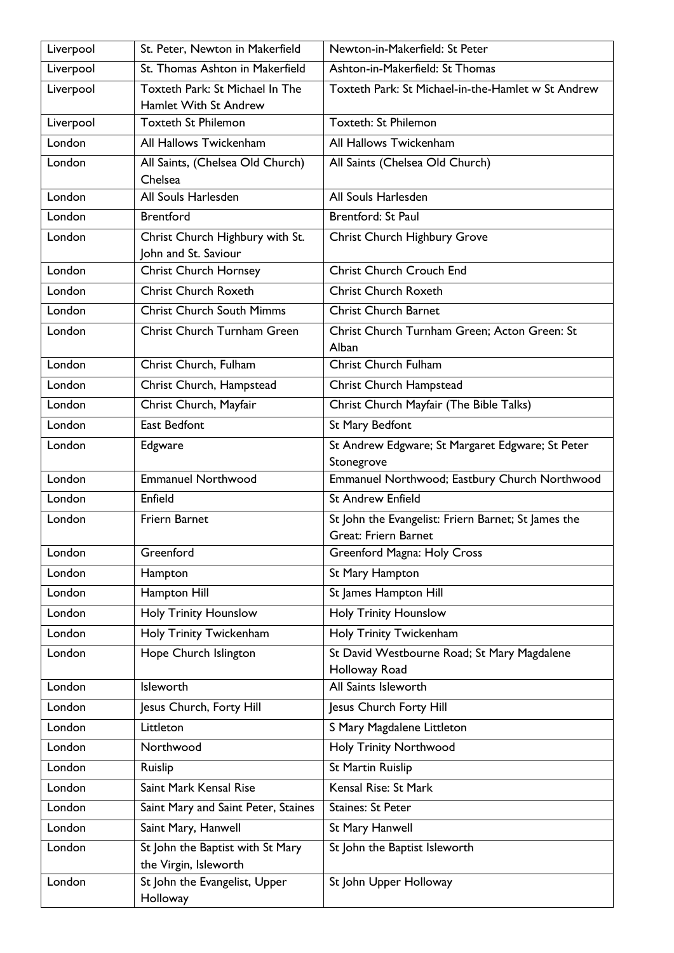| Liverpool | St. Peter, Newton in Makerfield                           | Newton-in-Makerfield: St Peter                                                     |
|-----------|-----------------------------------------------------------|------------------------------------------------------------------------------------|
| Liverpool | St. Thomas Ashton in Makerfield                           | Ashton-in-Makerfield: St Thomas                                                    |
| Liverpool | Toxteth Park: St Michael In The<br>Hamlet With St Andrew  | Toxteth Park: St Michael-in-the-Hamlet w St Andrew                                 |
| Liverpool | <b>Toxteth St Philemon</b>                                | <b>Toxteth: St Philemon</b>                                                        |
| London    | All Hallows Twickenham                                    | All Hallows Twickenham                                                             |
| London    | All Saints, (Chelsea Old Church)                          | All Saints (Chelsea Old Church)                                                    |
|           | Chelsea                                                   |                                                                                    |
| London    | All Souls Harlesden                                       | All Souls Harlesden                                                                |
| London    | <b>Brentford</b>                                          | <b>Brentford: St Paul</b>                                                          |
| London    | Christ Church Highbury with St.<br>John and St. Saviour   | Christ Church Highbury Grove                                                       |
| London    | <b>Christ Church Hornsey</b>                              | <b>Christ Church Crouch End</b>                                                    |
| London    | <b>Christ Church Roxeth</b>                               | <b>Christ Church Roxeth</b>                                                        |
| London    | <b>Christ Church South Mimms</b>                          | <b>Christ Church Barnet</b>                                                        |
| London    | Christ Church Turnham Green                               | Christ Church Turnham Green; Acton Green: St<br>Alban                              |
| London    | Christ Church, Fulham                                     | Christ Church Fulham                                                               |
| London    | Christ Church, Hampstead                                  | Christ Church Hampstead                                                            |
| London    | Christ Church, Mayfair                                    | Christ Church Mayfair (The Bible Talks)                                            |
| London    | <b>East Bedfont</b>                                       | St Mary Bedfont                                                                    |
| London    | Edgware                                                   | St Andrew Edgware; St Margaret Edgware; St Peter<br>Stonegrove                     |
| London    | <b>Emmanuel Northwood</b>                                 | Emmanuel Northwood; Eastbury Church Northwood                                      |
| London    | Enfield                                                   | <b>St Andrew Enfield</b>                                                           |
| London    | <b>Friern Barnet</b>                                      | St John the Evangelist: Friern Barnet; St James the<br><b>Great: Friern Barnet</b> |
| London    | Greenford                                                 | Greenford Magna: Holy Cross                                                        |
| London    | Hampton                                                   | St Mary Hampton                                                                    |
| London    | Hampton Hill                                              | St James Hampton Hill                                                              |
| London    | <b>Holy Trinity Hounslow</b>                              | <b>Holy Trinity Hounslow</b>                                                       |
| London    | Holy Trinity Twickenham                                   | Holy Trinity Twickenham                                                            |
| London    | Hope Church Islington                                     | St David Westbourne Road; St Mary Magdalene<br>Holloway Road                       |
| London    | Isleworth                                                 | All Saints Isleworth                                                               |
| London    | Jesus Church, Forty Hill                                  | Jesus Church Forty Hill                                                            |
| London    | Littleton                                                 | S Mary Magdalene Littleton                                                         |
| London    | Northwood                                                 | <b>Holy Trinity Northwood</b>                                                      |
| London    | Ruislip                                                   | St Martin Ruislip                                                                  |
| London    | Saint Mark Kensal Rise                                    | Kensal Rise: St Mark                                                               |
| London    | Saint Mary and Saint Peter, Staines                       | <b>Staines: St Peter</b>                                                           |
| London    | Saint Mary, Hanwell                                       | St Mary Hanwell                                                                    |
| London    | St John the Baptist with St Mary<br>the Virgin, Isleworth | St John the Baptist Isleworth                                                      |
| London    | St John the Evangelist, Upper<br>Holloway                 | St John Upper Holloway                                                             |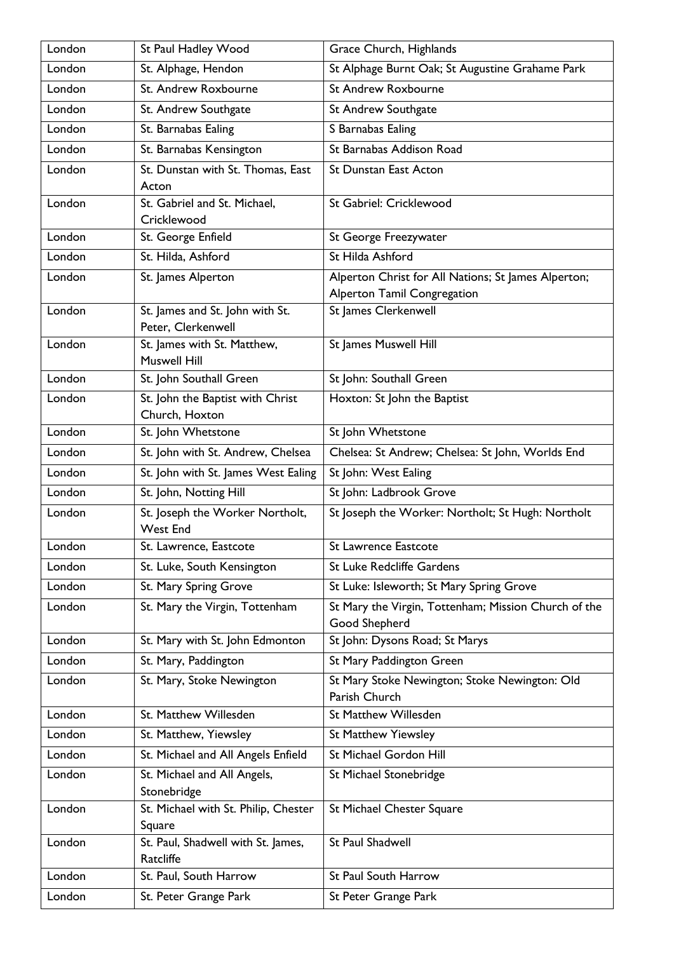| London | St Paul Hadley Wood                                   | Grace Church, Highlands                                                            |
|--------|-------------------------------------------------------|------------------------------------------------------------------------------------|
| London | St. Alphage, Hendon                                   | St Alphage Burnt Oak; St Augustine Grahame Park                                    |
| London | St. Andrew Roxbourne                                  | <b>St Andrew Roxbourne</b>                                                         |
| London | St. Andrew Southgate                                  | St Andrew Southgate                                                                |
| London | St. Barnabas Ealing                                   | S Barnabas Ealing                                                                  |
| London | St. Barnabas Kensington                               | St Barnabas Addison Road                                                           |
| London | St. Dunstan with St. Thomas, East<br>Acton            | <b>St Dunstan East Acton</b>                                                       |
| London | St. Gabriel and St. Michael,<br>Cricklewood           | St Gabriel: Cricklewood                                                            |
| London | St. George Enfield                                    | St George Freezywater                                                              |
| London | St. Hilda, Ashford                                    | St Hilda Ashford                                                                   |
| London | St. James Alperton                                    | Alperton Christ for All Nations; St James Alperton;<br>Alperton Tamil Congregation |
| London | St. James and St. John with St.<br>Peter, Clerkenwell | St James Clerkenwell                                                               |
| London | St. James with St. Matthew,<br><b>Muswell Hill</b>    | St James Muswell Hill                                                              |
| London | St. John Southall Green                               | St John: Southall Green                                                            |
| London | St. John the Baptist with Christ<br>Church, Hoxton    | Hoxton: St John the Baptist                                                        |
| London | St. John Whetstone                                    | St John Whetstone                                                                  |
| London | St. John with St. Andrew, Chelsea                     | Chelsea: St Andrew; Chelsea: St John, Worlds End                                   |
| London | St. John with St. James West Ealing                   | St John: West Ealing                                                               |
| London | St. John, Notting Hill                                | St John: Ladbrook Grove                                                            |
| London | St. Joseph the Worker Northolt,<br><b>West End</b>    | St Joseph the Worker: Northolt; St Hugh: Northolt                                  |
| London | St. Lawrence, Eastcote                                | St Lawrence Eastcote                                                               |
| London | St. Luke, South Kensington                            | <b>St Luke Redcliffe Gardens</b>                                                   |
| London | St. Mary Spring Grove                                 | St Luke: Isleworth; St Mary Spring Grove                                           |
| London | St. Mary the Virgin, Tottenham                        | St Mary the Virgin, Tottenham; Mission Church of the<br>Good Shepherd              |
| London | St. Mary with St. John Edmonton                       | St John: Dysons Road; St Marys                                                     |
| London | St. Mary, Paddington                                  | St Mary Paddington Green                                                           |
| London | St. Mary, Stoke Newington                             | St Mary Stoke Newington; Stoke Newington: Old<br>Parish Church                     |
| London | St. Matthew Willesden                                 | <b>St Matthew Willesden</b>                                                        |
| London | St. Matthew, Yiewsley                                 | <b>St Matthew Yiewsley</b>                                                         |
| London | St. Michael and All Angels Enfield                    | St Michael Gordon Hill                                                             |
| London | St. Michael and All Angels,<br>Stonebridge            | St Michael Stonebridge                                                             |
| London | St. Michael with St. Philip, Chester<br>Square        | St Michael Chester Square                                                          |
| London | St. Paul, Shadwell with St. James,<br>Ratcliffe       | St Paul Shadwell                                                                   |
| London | St. Paul, South Harrow                                | St Paul South Harrow                                                               |
| London | St. Peter Grange Park                                 | St Peter Grange Park                                                               |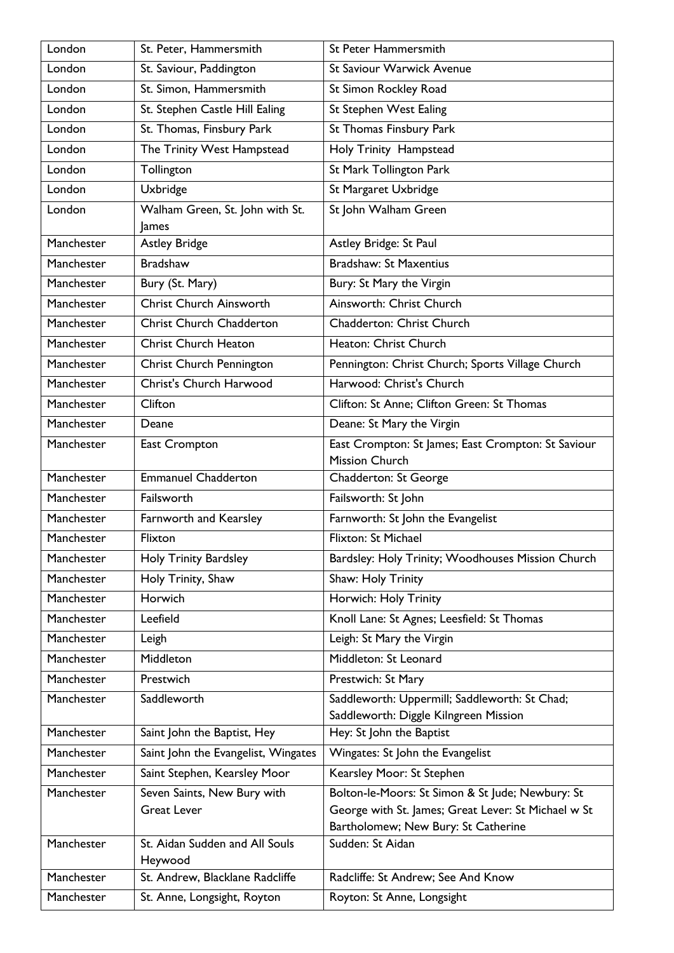| London     | St. Peter, Hammersmith                            | St Peter Hammersmith                                                                                    |
|------------|---------------------------------------------------|---------------------------------------------------------------------------------------------------------|
| London     | St. Saviour, Paddington                           | St Saviour Warwick Avenue                                                                               |
| London     | St. Simon, Hammersmith                            | St Simon Rockley Road                                                                                   |
| London     | St. Stephen Castle Hill Ealing                    | St Stephen West Ealing                                                                                  |
| London     | St. Thomas, Finsbury Park                         | St Thomas Finsbury Park                                                                                 |
| London     | The Trinity West Hampstead                        | Holy Trinity Hampstead                                                                                  |
| London     | Tollington                                        | St Mark Tollington Park                                                                                 |
| London     | Uxbridge                                          | St Margaret Uxbridge                                                                                    |
| London     | Walham Green, St. John with St.                   | St John Walham Green                                                                                    |
|            | James                                             |                                                                                                         |
| Manchester | <b>Astley Bridge</b>                              | Astley Bridge: St Paul                                                                                  |
| Manchester | <b>Bradshaw</b>                                   | <b>Bradshaw: St Maxentius</b>                                                                           |
| Manchester | Bury (St. Mary)                                   | Bury: St Mary the Virgin                                                                                |
| Manchester | Christ Church Ainsworth                           | Ainsworth: Christ Church                                                                                |
| Manchester | <b>Christ Church Chadderton</b>                   | Chadderton: Christ Church                                                                               |
| Manchester | <b>Christ Church Heaton</b>                       | Heaton: Christ Church                                                                                   |
| Manchester | Christ Church Pennington                          | Pennington: Christ Church; Sports Village Church                                                        |
| Manchester | Christ's Church Harwood                           | Harwood: Christ's Church                                                                                |
| Manchester | Clifton                                           | Clifton: St Anne; Clifton Green: St Thomas                                                              |
| Manchester | Deane                                             | Deane: St Mary the Virgin                                                                               |
| Manchester | East Crompton                                     | East Crompton: St James; East Crompton: St Saviour                                                      |
|            |                                                   | Mission Church                                                                                          |
| Manchester | <b>Emmanuel Chadderton</b>                        | Chadderton: St George                                                                                   |
| Manchester | Failsworth                                        | Failsworth: St John                                                                                     |
| Manchester | Farnworth and Kearsley                            | Farnworth: St John the Evangelist                                                                       |
| Manchester | Flixton                                           | Flixton: St Michael                                                                                     |
| Manchester | Holy Trinity Bardsley                             | Bardsley: Holy Trinity; Woodhouses Mission Church                                                       |
| Manchester | Holy Trinity, Shaw                                | Shaw: Holy Trinity                                                                                      |
| Manchester | Horwich                                           | Horwich: Holy Trinity                                                                                   |
| Manchester | Leefield                                          | Knoll Lane: St Agnes; Leesfield: St Thomas                                                              |
| Manchester | Leigh                                             | Leigh: St Mary the Virgin                                                                               |
| Manchester | Middleton                                         | Middleton: St Leonard                                                                                   |
| Manchester | Prestwich                                         | Prestwich: St Mary                                                                                      |
| Manchester | Saddleworth                                       | Saddleworth: Uppermill; Saddleworth: St Chad;                                                           |
| Manchester |                                                   | Saddleworth: Diggle Kilngreen Mission                                                                   |
| Manchester | Saint John the Baptist, Hey                       | Hey: St John the Baptist                                                                                |
|            | Saint John the Evangelist, Wingates               | Wingates: St John the Evangelist                                                                        |
| Manchester | Saint Stephen, Kearsley Moor                      | Kearsley Moor: St Stephen                                                                               |
| Manchester | Seven Saints, New Bury with<br><b>Great Lever</b> | Bolton-le-Moors: St Simon & St Jude; Newbury: St<br>George with St. James; Great Lever: St Michael w St |
|            |                                                   | Bartholomew; New Bury: St Catherine                                                                     |
| Manchester | St. Aidan Sudden and All Souls                    | Sudden: St Aidan                                                                                        |
|            | Heywood                                           |                                                                                                         |
| Manchester | St. Andrew, Blacklane Radcliffe                   | Radcliffe: St Andrew; See And Know                                                                      |
| Manchester | St. Anne, Longsight, Royton                       | Royton: St Anne, Longsight                                                                              |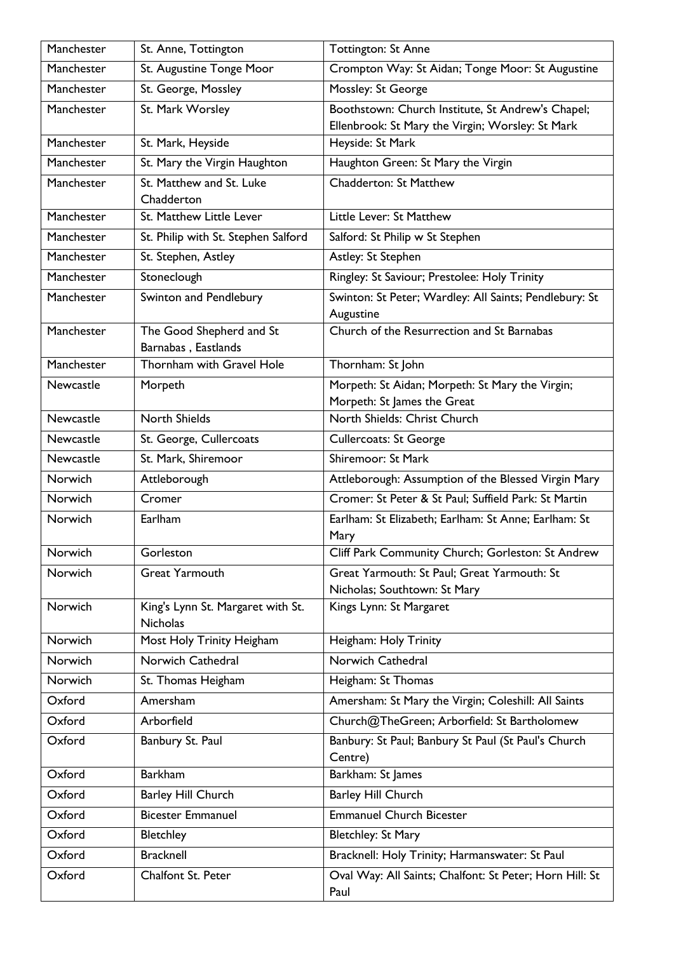| Manchester | St. Anne, Tottington                                 | <b>Tottington: St Anne</b>                                                                                |
|------------|------------------------------------------------------|-----------------------------------------------------------------------------------------------------------|
| Manchester | St. Augustine Tonge Moor                             | Crompton Way: St Aidan; Tonge Moor: St Augustine                                                          |
| Manchester | St. George, Mossley                                  | Mossley: St George                                                                                        |
| Manchester | St. Mark Worsley                                     | Boothstown: Church Institute, St Andrew's Chapel;                                                         |
|            |                                                      | Ellenbrook: St Mary the Virgin; Worsley: St Mark                                                          |
| Manchester | St. Mark, Heyside                                    | Heyside: St Mark                                                                                          |
| Manchester | St. Mary the Virgin Haughton                         | Haughton Green: St Mary the Virgin                                                                        |
| Manchester | St. Matthew and St. Luke                             | Chadderton: St Matthew                                                                                    |
|            | Chadderton                                           |                                                                                                           |
| Manchester | St. Matthew Little Lever                             | Little Lever: St Matthew                                                                                  |
| Manchester | St. Philip with St. Stephen Salford                  | Salford: St Philip w St Stephen                                                                           |
| Manchester | St. Stephen, Astley                                  | Astley: St Stephen                                                                                        |
| Manchester | Stoneclough                                          | Ringley: St Saviour; Prestolee: Holy Trinity                                                              |
| Manchester | Swinton and Pendlebury                               | Swinton: St Peter; Wardley: All Saints; Pendlebury: St<br>Augustine                                       |
| Manchester | The Good Shepherd and St<br>Barnabas, Eastlands      | Church of the Resurrection and St Barnabas                                                                |
| Manchester | Thornham with Gravel Hole                            | Thornham: St John                                                                                         |
| Newcastle  | Morpeth                                              | Morpeth: St Aidan; Morpeth: St Mary the Virgin;                                                           |
|            |                                                      | Morpeth: St James the Great                                                                               |
| Newcastle  | <b>North Shields</b>                                 | North Shields: Christ Church                                                                              |
| Newcastle  | St. George, Cullercoats                              | <b>Cullercoats: St George</b>                                                                             |
| Newcastle  | St. Mark, Shiremoor                                  | Shiremoor: St Mark                                                                                        |
|            |                                                      |                                                                                                           |
| Norwich    | Attleborough                                         | Attleborough: Assumption of the Blessed Virgin Mary                                                       |
| Norwich    | Cromer                                               | Cromer: St Peter & St Paul; Suffield Park: St Martin                                                      |
| Norwich    | Earlham                                              | Earlham: St Elizabeth; Earlham: St Anne; Earlham: St<br>Mary                                              |
| Norwich    | Gorleston                                            | Cliff Park Community Church; Gorleston: St Andrew                                                         |
| Norwich    | <b>Great Yarmouth</b>                                | Great Yarmouth: St Paul; Great Yarmouth: St                                                               |
|            |                                                      | Nicholas; Southtown: St Mary                                                                              |
| Norwich    | King's Lynn St. Margaret with St.<br><b>Nicholas</b> | Kings Lynn: St Margaret                                                                                   |
| Norwich    | Most Holy Trinity Heigham                            | Heigham: Holy Trinity                                                                                     |
| Norwich    | Norwich Cathedral                                    | Norwich Cathedral                                                                                         |
| Norwich    | St. Thomas Heigham                                   | Heigham: St Thomas                                                                                        |
| Oxford     | Amersham                                             | Amersham: St Mary the Virgin; Coleshill: All Saints                                                       |
| Oxford     | Arborfield                                           | Church@TheGreen; Arborfield: St Bartholomew                                                               |
| Oxford     | Banbury St. Paul                                     | Banbury: St Paul; Banbury St Paul (St Paul's Church                                                       |
| Oxford     | <b>Barkham</b>                                       | Centre)<br>Barkham: St James                                                                              |
| Oxford     | Barley Hill Church                                   | Barley Hill Church                                                                                        |
| Oxford     | <b>Bicester Emmanuel</b>                             | <b>Emmanuel Church Bicester</b>                                                                           |
| Oxford     | Bletchley                                            | Bletchley: St Mary                                                                                        |
| Oxford     | <b>Bracknell</b>                                     |                                                                                                           |
| Oxford     | Chalfont St. Peter                                   | Bracknell: Holy Trinity; Harmanswater: St Paul<br>Oval Way: All Saints; Chalfont: St Peter; Horn Hill: St |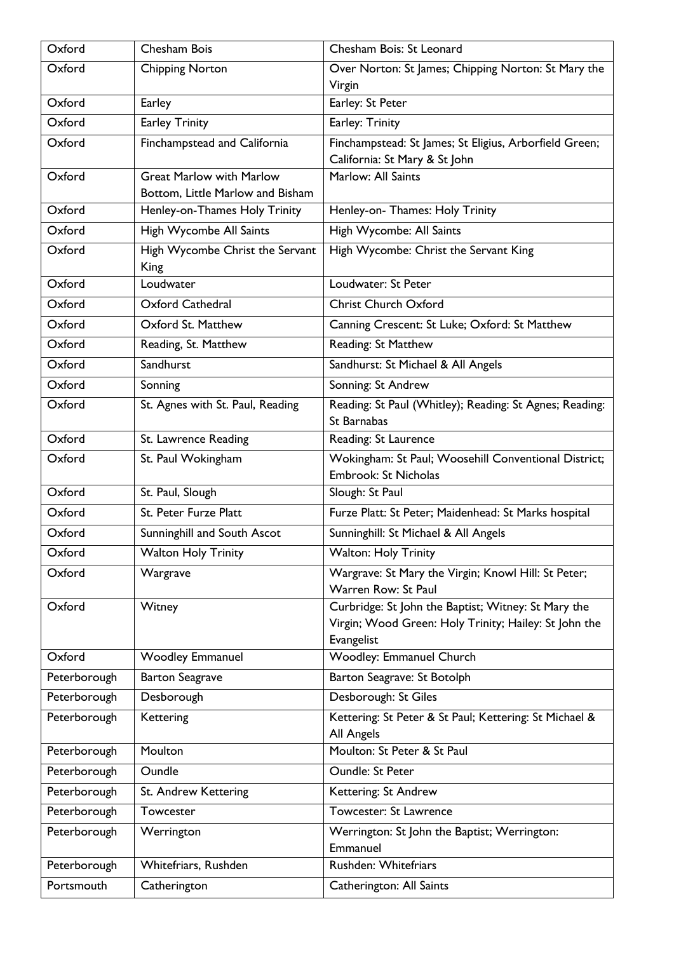| Oxford       | Chesham Bois                            | Chesham Bois: St Leonard                                            |
|--------------|-----------------------------------------|---------------------------------------------------------------------|
| Oxford       | <b>Chipping Norton</b>                  | Over Norton: St James; Chipping Norton: St Mary the                 |
|              |                                         | Virgin                                                              |
| Oxford       | Earley                                  | Earley: St Peter                                                    |
| Oxford       | <b>Earley Trinity</b>                   | Earley: Trinity                                                     |
| Oxford       | Finchampstead and California            | Finchampstead: St James; St Eligius, Arborfield Green;              |
|              |                                         | California: St Mary & St John                                       |
| Oxford       | <b>Great Marlow with Marlow</b>         | Marlow: All Saints                                                  |
|              | Bottom, Little Marlow and Bisham        |                                                                     |
| Oxford       | Henley-on-Thames Holy Trinity           | Henley-on- Thames: Holy Trinity                                     |
| Oxford       | High Wycombe All Saints                 | High Wycombe: All Saints                                            |
| Oxford       | High Wycombe Christ the Servant<br>King | High Wycombe: Christ the Servant King                               |
| Oxford       | Loudwater                               | Loudwater: St Peter                                                 |
| Oxford       | <b>Oxford Cathedral</b>                 | <b>Christ Church Oxford</b>                                         |
| Oxford       | Oxford St. Matthew                      | Canning Crescent: St Luke; Oxford: St Matthew                       |
| Oxford       | Reading, St. Matthew                    | Reading: St Matthew                                                 |
| Oxford       | Sandhurst                               | Sandhurst: St Michael & All Angels                                  |
| Oxford       | Sonning                                 | Sonning: St Andrew                                                  |
| Oxford       | St. Agnes with St. Paul, Reading        | Reading: St Paul (Whitley); Reading: St Agnes; Reading:             |
|              |                                         | St Barnabas                                                         |
| Oxford       | St. Lawrence Reading                    | Reading: St Laurence                                                |
| Oxford       | St. Paul Wokingham                      | Wokingham: St Paul; Woosehill Conventional District;                |
|              |                                         | Embrook: St Nicholas                                                |
| Oxford       | St. Paul, Slough                        | Slough: St Paul                                                     |
| Oxford       | St. Peter Furze Platt                   | Furze Platt: St Peter; Maidenhead: St Marks hospital                |
| Oxford       | Sunninghill and South Ascot             | Sunninghill: St Michael & All Angels                                |
| Oxford       | <b>Walton Holy Trinity</b>              | <b>Walton: Holy Trinity</b>                                         |
| Oxford       | Wargrave                                | Wargrave: St Mary the Virgin; Knowl Hill: St Peter;                 |
|              |                                         | Warren Row: St Paul                                                 |
| Oxford       | Witney                                  | Curbridge: St John the Baptist; Witney: St Mary the                 |
|              |                                         | Virgin; Wood Green: Holy Trinity; Hailey: St John the<br>Evangelist |
| Oxford       | <b>Woodley Emmanuel</b>                 | Woodley: Emmanuel Church                                            |
| Peterborough | <b>Barton Seagrave</b>                  | Barton Seagrave: St Botolph                                         |
| Peterborough | Desborough                              | Desborough: St Giles                                                |
| Peterborough | Kettering                               | Kettering: St Peter & St Paul; Kettering: St Michael &              |
|              |                                         | All Angels                                                          |
| Peterborough | Moulton                                 | Moulton: St Peter & St Paul                                         |
| Peterborough | Oundle                                  | Oundle: St Peter                                                    |
| Peterborough | St. Andrew Kettering                    | Kettering: St Andrew                                                |
| Peterborough | Towcester                               | Towcester: St Lawrence                                              |
| Peterborough | Werrington                              | Werrington: St John the Baptist; Werrington:                        |
|              |                                         | Emmanuel                                                            |
| Peterborough | Whitefriars, Rushden                    | Rushden: Whitefriars                                                |
| Portsmouth   | Catherington                            | Catherington: All Saints                                            |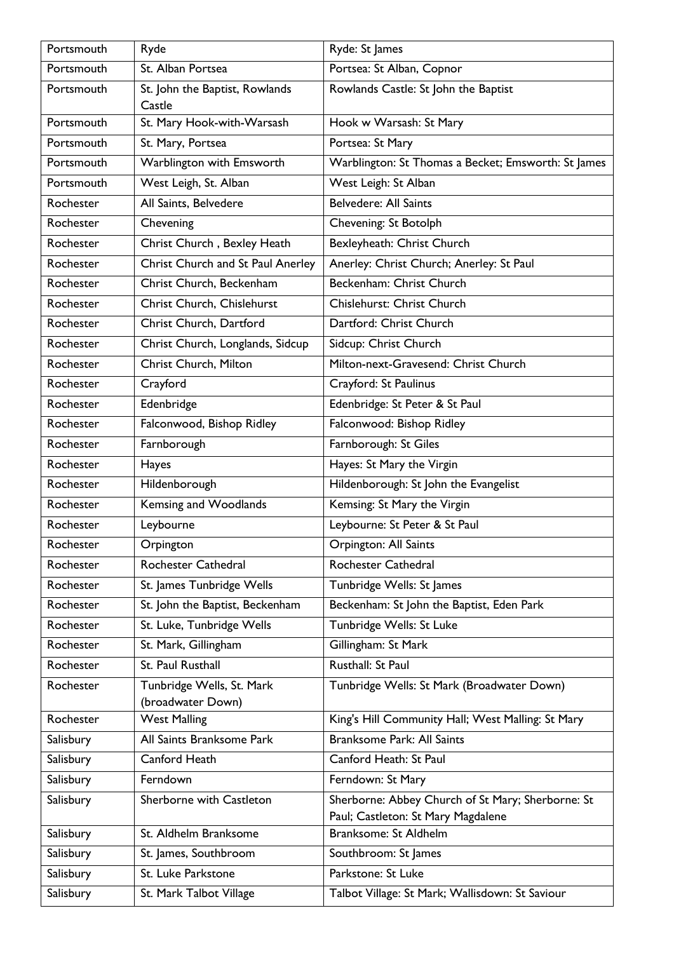| Portsmouth | Ryde                                     | Ryde: St James                                                                          |
|------------|------------------------------------------|-----------------------------------------------------------------------------------------|
| Portsmouth | St. Alban Portsea                        | Portsea: St Alban, Copnor                                                               |
| Portsmouth | St. John the Baptist, Rowlands<br>Castle | Rowlands Castle: St John the Baptist                                                    |
| Portsmouth | St. Mary Hook-with-Warsash               | Hook w Warsash: St Mary                                                                 |
| Portsmouth | St. Mary, Portsea                        | Portsea: St Mary                                                                        |
| Portsmouth | Warblington with Emsworth                | Warblington: St Thomas a Becket; Emsworth: St James                                     |
| Portsmouth | West Leigh, St. Alban                    | West Leigh: St Alban                                                                    |
| Rochester  | All Saints, Belvedere                    | <b>Belvedere: All Saints</b>                                                            |
| Rochester  | Chevening                                | Chevening: St Botolph                                                                   |
| Rochester  | Christ Church, Bexley Heath              | Bexleyheath: Christ Church                                                              |
| Rochester  | Christ Church and St Paul Anerley        | Anerley: Christ Church; Anerley: St Paul                                                |
| Rochester  | Christ Church, Beckenham                 | Beckenham: Christ Church                                                                |
| Rochester  | Christ Church, Chislehurst               | Chislehurst: Christ Church                                                              |
| Rochester  | Christ Church, Dartford                  | Dartford: Christ Church                                                                 |
| Rochester  | Christ Church, Longlands, Sidcup         | Sidcup: Christ Church                                                                   |
| Rochester  | Christ Church, Milton                    | Milton-next-Gravesend: Christ Church                                                    |
| Rochester  | Crayford                                 | Crayford: St Paulinus                                                                   |
| Rochester  | Edenbridge                               | Edenbridge: St Peter & St Paul                                                          |
| Rochester  | Falconwood, Bishop Ridley                | Falconwood: Bishop Ridley                                                               |
| Rochester  | Farnborough                              | Farnborough: St Giles                                                                   |
| Rochester  | Hayes                                    | Hayes: St Mary the Virgin                                                               |
| Rochester  | Hildenborough                            | Hildenborough: St John the Evangelist                                                   |
| Rochester  | Kemsing and Woodlands                    | Kemsing: St Mary the Virgin                                                             |
| Rochester  | Leybourne                                | Leybourne: St Peter & St Paul                                                           |
| Rochester  | Orpington                                | Orpington: All Saints                                                                   |
| Rochester  | Rochester Cathedral                      | <b>Rochester Cathedral</b>                                                              |
| Rochester  | St. James Tunbridge Wells                | Tunbridge Wells: St James                                                               |
| Rochester  | St. John the Baptist, Beckenham          | Beckenham: St John the Baptist, Eden Park                                               |
| Rochester  | St. Luke, Tunbridge Wells                | Tunbridge Wells: St Luke                                                                |
| Rochester  | St. Mark, Gillingham                     | Gillingham: St Mark                                                                     |
| Rochester  | St. Paul Rusthall                        | Rusthall: St Paul                                                                       |
| Rochester  | Tunbridge Wells, St. Mark                | Tunbridge Wells: St Mark (Broadwater Down)                                              |
|            | (broadwater Down)                        |                                                                                         |
| Rochester  | <b>West Malling</b>                      | King's Hill Community Hall; West Malling: St Mary                                       |
| Salisbury  | All Saints Branksome Park                | Branksome Park: All Saints                                                              |
| Salisbury  | Canford Heath                            | Canford Heath: St Paul                                                                  |
| Salisbury  | Ferndown                                 | Ferndown: St Mary                                                                       |
| Salisbury  | Sherborne with Castleton                 | Sherborne: Abbey Church of St Mary; Sherborne: St<br>Paul; Castleton: St Mary Magdalene |
| Salisbury  | St. Aldhelm Branksome                    | Branksome: St Aldhelm                                                                   |
| Salisbury  | St. James, Southbroom                    | Southbroom: St James                                                                    |
| Salisbury  | St. Luke Parkstone                       | Parkstone: St Luke                                                                      |
| Salisbury  | St. Mark Talbot Village                  | Talbot Village: St Mark; Wallisdown: St Saviour                                         |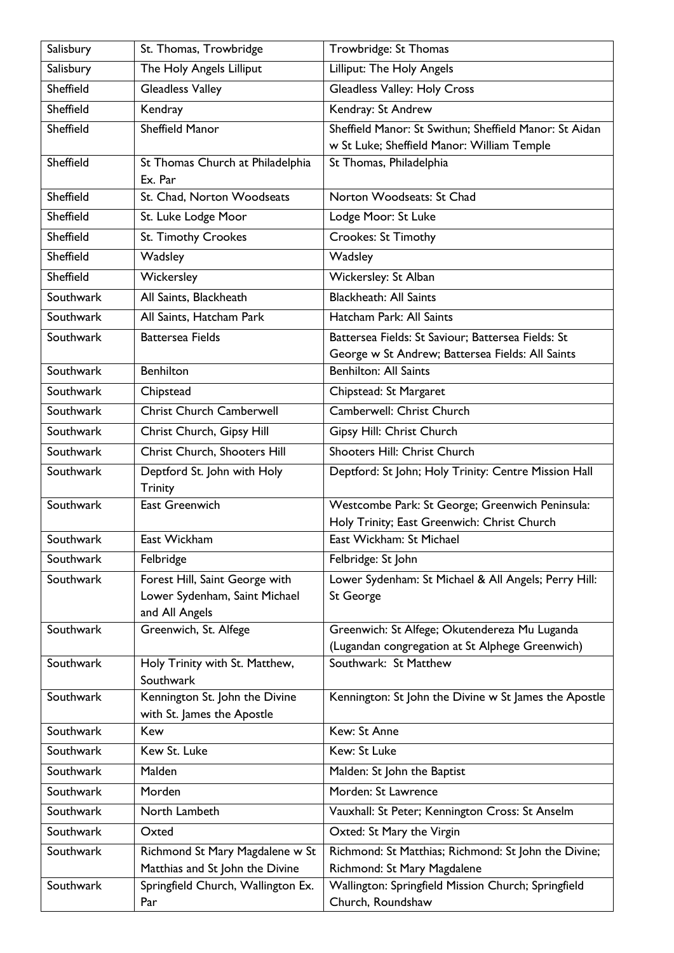| Salisbury | St. Thomas, Trowbridge                                                | Trowbridge: St Thomas                                                              |
|-----------|-----------------------------------------------------------------------|------------------------------------------------------------------------------------|
| Salisbury | The Holy Angels Lilliput                                              | Lilliput: The Holy Angels                                                          |
| Sheffield | Gleadless Valley                                                      | Gleadless Valley: Holy Cross                                                       |
| Sheffield | Kendray                                                               | Kendray: St Andrew                                                                 |
| Sheffield | <b>Sheffield Manor</b>                                                | Sheffield Manor: St Swithun; Sheffield Manor: St Aidan                             |
|           |                                                                       | w St Luke; Sheffield Manor: William Temple                                         |
| Sheffield | St Thomas Church at Philadelphia                                      | St Thomas, Philadelphia                                                            |
| Sheffield | Ex. Par<br>St. Chad, Norton Woodseats                                 | Norton Woodseats: St Chad                                                          |
| Sheffield | St. Luke Lodge Moor                                                   | Lodge Moor: St Luke                                                                |
| Sheffield | St. Timothy Crookes                                                   | Crookes: St Timothy                                                                |
| Sheffield | Wadsley                                                               | Wadsley                                                                            |
| Sheffield |                                                                       |                                                                                    |
|           | Wickersley                                                            | Wickersley: St Alban<br><b>Blackheath: All Saints</b>                              |
| Southwark | All Saints, Blackheath                                                |                                                                                    |
| Southwark | All Saints, Hatcham Park                                              | Hatcham Park: All Saints                                                           |
| Southwark | <b>Battersea Fields</b>                                               | Battersea Fields: St Saviour; Battersea Fields: St                                 |
| Southwark | <b>Benhilton</b>                                                      | George w St Andrew; Battersea Fields: All Saints<br><b>Benhilton: All Saints</b>   |
| Southwark | Chipstead                                                             | Chipstead: St Margaret                                                             |
| Southwark | <b>Christ Church Camberwell</b>                                       | Camberwell: Christ Church                                                          |
| Southwark | Christ Church, Gipsy Hill                                             | Gipsy Hill: Christ Church                                                          |
| Southwark | <b>Christ Church, Shooters Hill</b>                                   | Shooters Hill: Christ Church                                                       |
|           |                                                                       |                                                                                    |
| Southwark | Deptford St. John with Holy<br><b>Trinity</b>                         | Deptford: St John; Holy Trinity: Centre Mission Hall                               |
| Southwark | East Greenwich                                                        | Westcombe Park: St George; Greenwich Peninsula:                                    |
|           |                                                                       | Holy Trinity; East Greenwich: Christ Church                                        |
| Southwark | East Wickham                                                          | East Wickham: St Michael                                                           |
| Southwark | Felbridge                                                             | Felbridge: St John                                                                 |
| Southwark | Forest Hill, Saint George with                                        | Lower Sydenham: St Michael & All Angels; Perry Hill:                               |
|           | Lower Sydenham, Saint Michael<br>and All Angels                       | St George                                                                          |
| Southwark | Greenwich, St. Alfege                                                 | Greenwich: St Alfege; Okutendereza Mu Luganda                                      |
|           |                                                                       | (Lugandan congregation at St Alphege Greenwich)                                    |
| Southwark | Holy Trinity with St. Matthew,                                        | Southwark: St Matthew                                                              |
|           | Southwark                                                             |                                                                                    |
| Southwark | Kennington St. John the Divine                                        | Kennington: St John the Divine w St James the Apostle                              |
| Southwark | with St. James the Apostle<br>Kew                                     | Kew: St Anne                                                                       |
| Southwark | Kew St. Luke                                                          | Kew: St Luke                                                                       |
| Southwark | Malden                                                                |                                                                                    |
|           |                                                                       | Malden: St John the Baptist                                                        |
| Southwark | Morden                                                                | Morden: St Lawrence                                                                |
| Southwark | North Lambeth                                                         | Vauxhall: St Peter; Kennington Cross: St Anselm                                    |
| Southwark | Oxted                                                                 | Oxted: St Mary the Virgin                                                          |
| Southwark | Richmond St Mary Magdalene w St                                       | Richmond: St Matthias; Richmond: St John the Divine;                               |
| Southwark | Matthias and St John the Divine<br>Springfield Church, Wallington Ex. | Richmond: St Mary Magdalene<br>Wallington: Springfield Mission Church; Springfield |
|           | Par                                                                   | Church, Roundshaw                                                                  |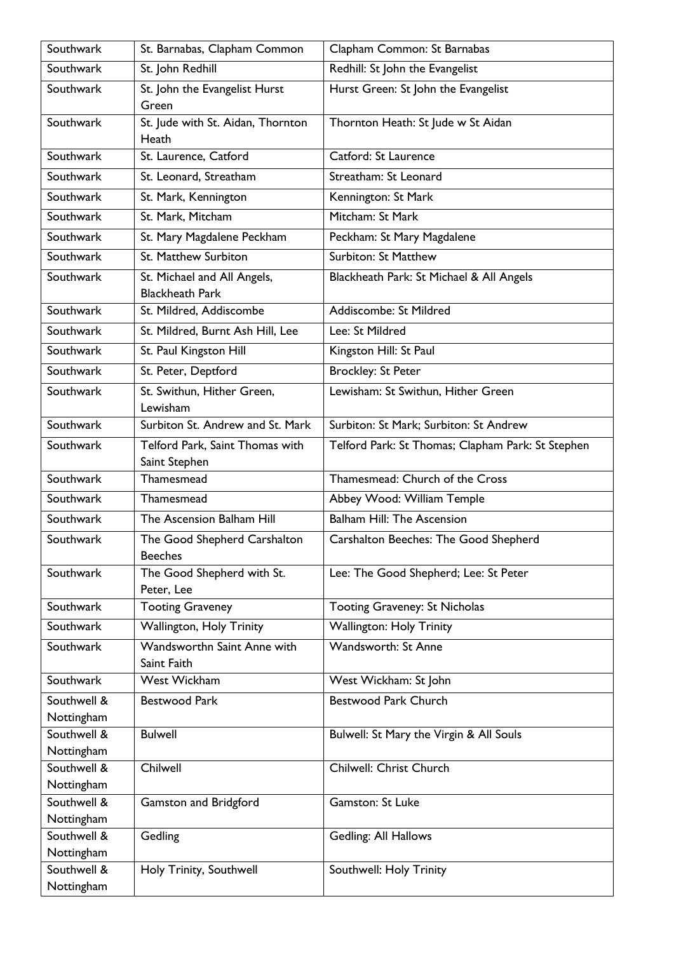| Southwark                 | St. Barnabas, Clapham Common                          | Clapham Common: St Barnabas                       |
|---------------------------|-------------------------------------------------------|---------------------------------------------------|
| Southwark                 | St. John Redhill                                      | Redhill: St John the Evangelist                   |
| Southwark                 | St. John the Evangelist Hurst<br>Green                | Hurst Green: St John the Evangelist               |
| Southwark                 | St. Jude with St. Aidan, Thornton<br>Heath            | Thornton Heath: St Jude w St Aidan                |
| Southwark                 | St. Laurence, Catford                                 | Catford: St Laurence                              |
| Southwark                 | St. Leonard, Streatham                                | Streatham: St Leonard                             |
| Southwark                 | St. Mark, Kennington                                  | Kennington: St Mark                               |
| Southwark                 | St. Mark, Mitcham                                     | Mitcham: St Mark                                  |
| Southwark                 | St. Mary Magdalene Peckham                            | Peckham: St Mary Magdalene                        |
| Southwark                 | St. Matthew Surbiton                                  | <b>Surbiton: St Matthew</b>                       |
| Southwark                 | St. Michael and All Angels,<br><b>Blackheath Park</b> | Blackheath Park: St Michael & All Angels          |
| Southwark                 | St. Mildred, Addiscombe                               | Addiscombe: St Mildred                            |
| Southwark                 | St. Mildred, Burnt Ash Hill, Lee                      | Lee: St Mildred                                   |
| Southwark                 | St. Paul Kingston Hill                                | Kingston Hill: St Paul                            |
| Southwark                 | St. Peter, Deptford                                   | <b>Brockley: St Peter</b>                         |
| Southwark                 | St. Swithun, Hither Green,<br>Lewisham                | Lewisham: St Swithun, Hither Green                |
| Southwark                 | Surbiton St. Andrew and St. Mark                      | Surbiton: St Mark; Surbiton: St Andrew            |
| Southwark                 | Telford Park, Saint Thomas with<br>Saint Stephen      | Telford Park: St Thomas; Clapham Park: St Stephen |
| Southwark                 | Thamesmead                                            | Thamesmead: Church of the Cross                   |
| Southwark                 | Thamesmead                                            | Abbey Wood: William Temple                        |
| Southwark                 | The Ascension Balham Hill                             | <b>Balham Hill: The Ascension</b>                 |
| Southwark                 | The Good Shepherd Carshalton<br><b>Beeches</b>        | Carshalton Beeches: The Good Shepherd             |
| Southwark                 | The Good Shepherd with St.<br>Peter, Lee              | Lee: The Good Shepherd; Lee: St Peter             |
| Southwark                 | <b>Tooting Graveney</b>                               | Tooting Graveney: St Nicholas                     |
| Southwark                 | Wallington, Holy Trinity                              | <b>Wallington: Holy Trinity</b>                   |
| Southwark                 | Wandsworthn Saint Anne with<br>Saint Faith            | Wandsworth: St Anne                               |
| Southwark                 | <b>West Wickham</b>                                   | West Wickham: St John                             |
| Southwell &<br>Nottingham | <b>Bestwood Park</b>                                  | <b>Bestwood Park Church</b>                       |
| Southwell &<br>Nottingham | <b>Bulwell</b>                                        | Bulwell: St Mary the Virgin & All Souls           |
| Southwell &               | Chilwell                                              | Chilwell: Christ Church                           |
| Nottingham<br>Southwell & | Gamston and Bridgford                                 | Gamston: St Luke                                  |
| Nottingham                |                                                       |                                                   |
| Southwell &               | Gedling                                               | Gedling: All Hallows                              |
| Nottingham                |                                                       |                                                   |
| Southwell &               | Holy Trinity, Southwell                               | Southwell: Holy Trinity                           |
| Nottingham                |                                                       |                                                   |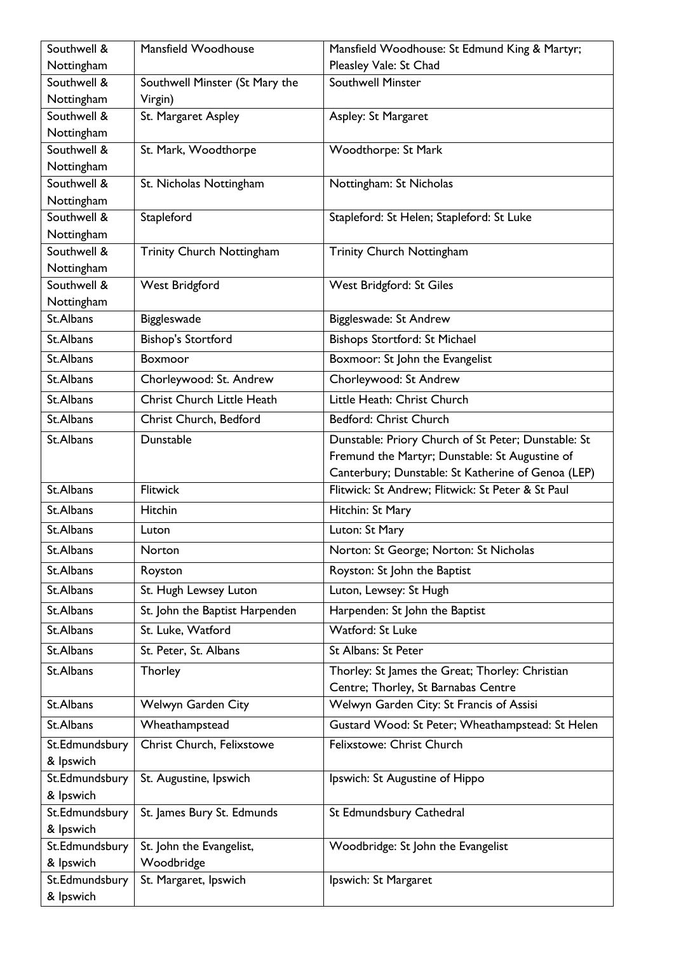| Southwell &                 | Mansfield Woodhouse            | Mansfield Woodhouse: St Edmund King & Martyr;       |
|-----------------------------|--------------------------------|-----------------------------------------------------|
| Nottingham                  |                                | Pleasley Vale: St Chad                              |
| Southwell &                 | Southwell Minster (St Mary the | <b>Southwell Minster</b>                            |
| Nottingham                  | Virgin)                        |                                                     |
| Southwell &                 | St. Margaret Aspley            | Aspley: St Margaret                                 |
| Nottingham                  |                                |                                                     |
| Southwell &                 | St. Mark, Woodthorpe           | Woodthorpe: St Mark                                 |
| Nottingham<br>Southwell &   |                                |                                                     |
| Nottingham                  | St. Nicholas Nottingham        | Nottingham: St Nicholas                             |
| Southwell &                 | Stapleford                     | Stapleford: St Helen; Stapleford: St Luke           |
| Nottingham                  |                                |                                                     |
| Southwell &                 | Trinity Church Nottingham      | Trinity Church Nottingham                           |
| Nottingham                  |                                |                                                     |
| Southwell &                 | <b>West Bridgford</b>          | West Bridgford: St Giles                            |
| Nottingham                  |                                |                                                     |
| St.Albans                   | Biggleswade                    | Biggleswade: St Andrew                              |
| St.Albans                   | <b>Bishop's Stortford</b>      | Bishops Stortford: St Michael                       |
| St.Albans                   | Boxmoor                        | Boxmoor: St John the Evangelist                     |
| St.Albans                   | Chorleywood: St. Andrew        | Chorleywood: St Andrew                              |
| St.Albans                   | Christ Church Little Heath     | Little Heath: Christ Church                         |
| St.Albans                   | Christ Church, Bedford         | Bedford: Christ Church                              |
| St.Albans                   | Dunstable                      | Dunstable: Priory Church of St Peter; Dunstable: St |
|                             |                                | Fremund the Martyr; Dunstable: St Augustine of      |
|                             |                                | Canterbury; Dunstable: St Katherine of Genoa (LEP)  |
| St.Albans                   | <b>Flitwick</b>                | Flitwick: St Andrew; Flitwick: St Peter & St Paul   |
| St.Albans                   | Hitchin                        | Hitchin: St Mary                                    |
| St.Albans                   | Luton                          | Luton: St Mary                                      |
| St.Albans                   | Norton                         | Norton: St George; Norton: St Nicholas              |
| St.Albans                   | Royston                        | Royston: St John the Baptist                        |
| St.Albans                   | St. Hugh Lewsey Luton          | Luton, Lewsey: St Hugh                              |
| St.Albans                   | St. John the Baptist Harpenden | Harpenden: St John the Baptist                      |
|                             |                                |                                                     |
| St.Albans                   | St. Luke, Watford              | Watford: St Luke                                    |
| St.Albans                   | St. Peter, St. Albans          | St Albans: St Peter                                 |
| St.Albans                   | Thorley                        | Thorley: St James the Great; Thorley: Christian     |
|                             |                                | Centre; Thorley, St Barnabas Centre                 |
| St.Albans                   | Welwyn Garden City             | Welwyn Garden City: St Francis of Assisi            |
| St.Albans                   | Wheathampstead                 | Gustard Wood: St Peter; Wheathampstead: St Helen    |
| St.Edmundsbury              | Christ Church, Felixstowe      | Felixstowe: Christ Church                           |
| & Ipswich                   |                                |                                                     |
| St.Edmundsbury              | St. Augustine, Ipswich         | Ipswich: St Augustine of Hippo                      |
| & Ipswich                   |                                |                                                     |
| St.Edmundsbury<br>& Ipswich | St. James Bury St. Edmunds     | St Edmundsbury Cathedral                            |
| St.Edmundsbury              | St. John the Evangelist,       | Woodbridge: St John the Evangelist                  |
| & Ipswich                   | Woodbridge                     |                                                     |
| St.Edmundsbury              | St. Margaret, Ipswich          | Ipswich: St Margaret                                |
| & Ipswich                   |                                |                                                     |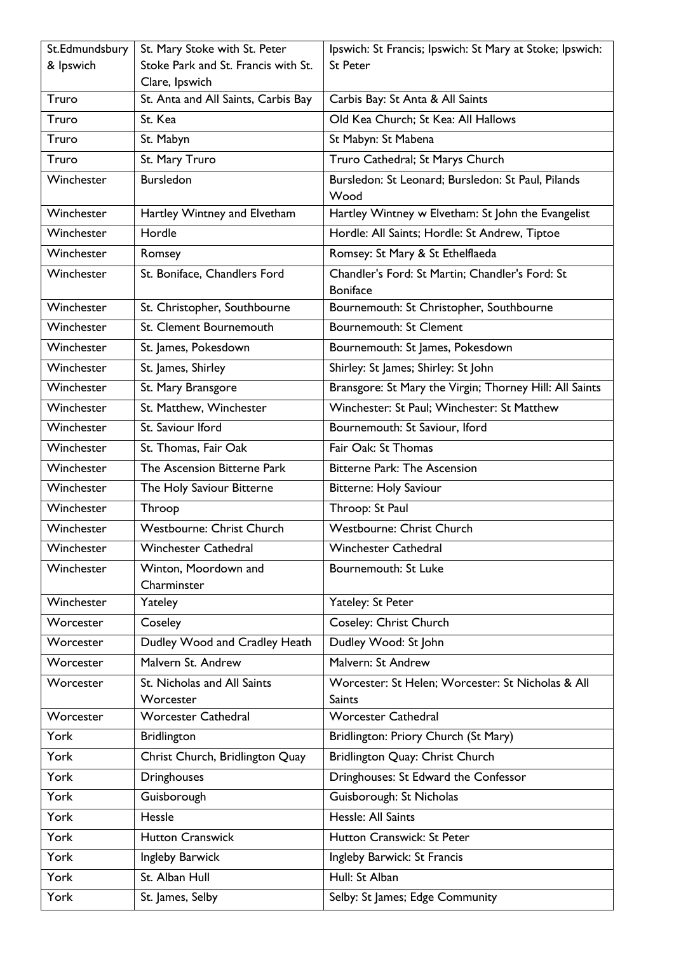| St.Edmundsbury | St. Mary Stoke with St. Peter       | Ipswich: St Francis; Ipswich: St Mary at Stoke; Ipswich:           |
|----------------|-------------------------------------|--------------------------------------------------------------------|
| & Ipswich      | Stoke Park and St. Francis with St. | <b>St Peter</b>                                                    |
|                | Clare, Ipswich                      |                                                                    |
| Truro          | St. Anta and All Saints, Carbis Bay | Carbis Bay: St Anta & All Saints                                   |
| Truro          | St. Kea                             | Old Kea Church; St Kea: All Hallows                                |
| Truro          | St. Mabyn                           | St Mabyn: St Mabena                                                |
| Truro          | St. Mary Truro                      | Truro Cathedral; St Marys Church                                   |
| Winchester     | <b>Bursledon</b>                    | Bursledon: St Leonard; Bursledon: St Paul, Pilands<br>Wood         |
| Winchester     | Hartley Wintney and Elvetham        | Hartley Wintney w Elvetham: St John the Evangelist                 |
| Winchester     | Hordle                              | Hordle: All Saints; Hordle: St Andrew, Tiptoe                      |
| Winchester     | Romsey                              | Romsey: St Mary & St Ethelflaeda                                   |
| Winchester     | St. Boniface, Chandlers Ford        | Chandler's Ford: St Martin; Chandler's Ford: St<br><b>Boniface</b> |
| Winchester     | St. Christopher, Southbourne        | Bournemouth: St Christopher, Southbourne                           |
| Winchester     | St. Clement Bournemouth             | <b>Bournemouth: St Clement</b>                                     |
| Winchester     | St. James, Pokesdown                | Bournemouth: St James, Pokesdown                                   |
| Winchester     | St. James, Shirley                  | Shirley: St James; Shirley: St John                                |
| Winchester     | St. Mary Bransgore                  | Bransgore: St Mary the Virgin; Thorney Hill: All Saints            |
| Winchester     | St. Matthew, Winchester             | Winchester: St Paul; Winchester: St Matthew                        |
| Winchester     | St. Saviour Iford                   | Bournemouth: St Saviour, Iford                                     |
| Winchester     | St. Thomas, Fair Oak                | Fair Oak: St Thomas                                                |
| Winchester     | The Ascension Bitterne Park         | <b>Bitterne Park: The Ascension</b>                                |
| Winchester     | The Holy Saviour Bitterne           | Bitterne: Holy Saviour                                             |
| Winchester     | Throop                              | Throop: St Paul                                                    |
| Winchester     | Westbourne: Christ Church           | Westbourne: Christ Church                                          |
| Winchester     | Winchester Cathedral                | <b>Winchester Cathedral</b>                                        |
| Winchester     | Winton, Moordown and<br>Charminster | Bournemouth: St Luke                                               |
| Winchester     | Yateley                             | Yateley: St Peter                                                  |
| Worcester      | Coseley                             | Coseley: Christ Church                                             |
| Worcester      | Dudley Wood and Cradley Heath       | Dudley Wood: St John                                               |
| Worcester      | Malvern St. Andrew                  | Malvern: St Andrew                                                 |
| Worcester      | St. Nicholas and All Saints         | Worcester: St Helen; Worcester: St Nicholas & All                  |
|                | Worcester                           | <b>Saints</b>                                                      |
| Worcester      | <b>Worcester Cathedral</b>          | <b>Worcester Cathedral</b>                                         |
| York           | <b>Bridlington</b>                  | Bridlington: Priory Church (St Mary)                               |
| York           | Christ Church, Bridlington Quay     | Bridlington Quay: Christ Church                                    |
| York           | Dringhouses                         | Dringhouses: St Edward the Confessor                               |
| York           | Guisborough                         | Guisborough: St Nicholas                                           |
| York           | Hessle                              | Hessle: All Saints                                                 |
| York           | Hutton Cranswick                    | Hutton Cranswick: St Peter                                         |
| York           | Ingleby Barwick                     | Ingleby Barwick: St Francis                                        |
| York           | St. Alban Hull                      | Hull: St Alban                                                     |
| York           | St. James, Selby                    | Selby: St James; Edge Community                                    |